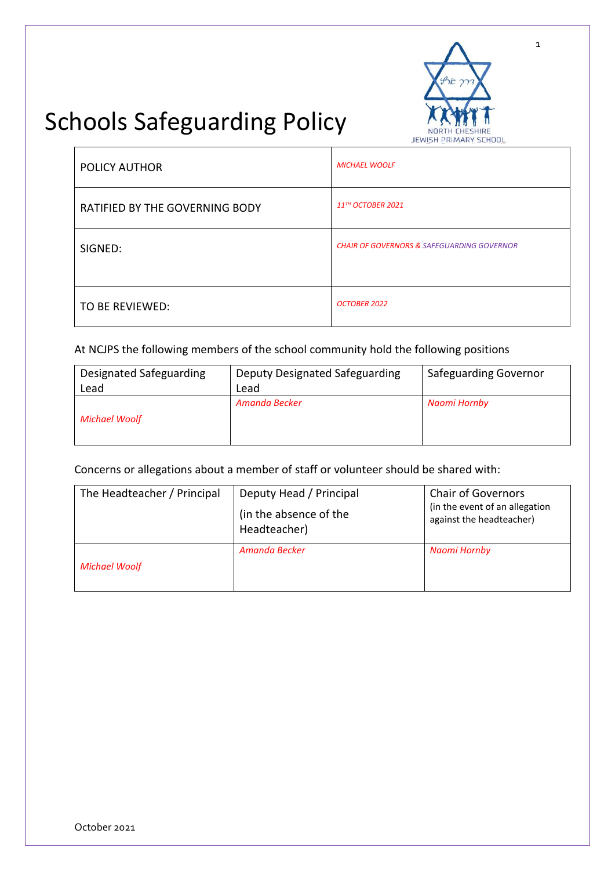

1

# Schools Safeguarding Policy

| POLICY AUTHOR                  | <b>MICHAEL WOOLF</b>                                  |
|--------------------------------|-------------------------------------------------------|
| RATIFIED BY THE GOVERNING BODY | $11^{TH}$ OCTOBER 2021                                |
| SIGNED:                        | <b>CHAIR OF GOVERNORS &amp; SAFEGUARDING GOVERNOR</b> |
| TO BE REVIEWED:                | <b>OCTOBER 2022</b>                                   |

# At NCJPS the following members of the school community hold the following positions

| Designated Safeguarding | Deputy Designated Safeguarding | <b>Safeguarding Governor</b> |
|-------------------------|--------------------------------|------------------------------|
| Lead                    | Lead                           |                              |
|                         | Amanda Becker                  | Naomi Hornby                 |
| <b>Michael Woolf</b>    |                                |                              |
|                         |                                |                              |

### Concerns or allegations about a member of staff or volunteer should be shared with:

| The Headteacher / Principal<br>Deputy Head / Principal |                                        | <b>Chair of Governors</b>                                  |
|--------------------------------------------------------|----------------------------------------|------------------------------------------------------------|
|                                                        | (in the absence of the<br>Headteacher) | (in the event of an allegation<br>against the headteacher) |
| <b>Michael Woolf</b>                                   | Amanda Becker                          | Naomi Hornby                                               |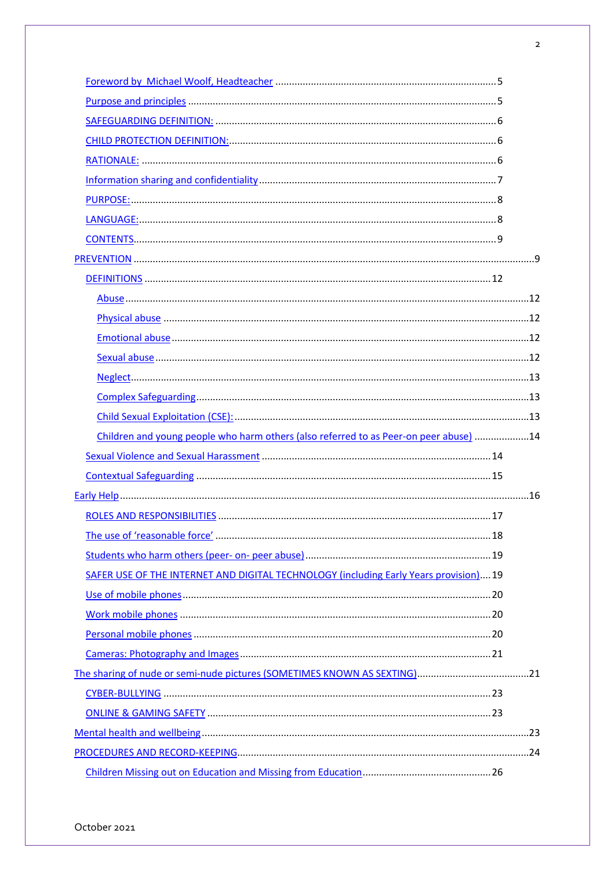| Children and young people who harm others (also referred to as Peer-on peer abuse) 14 |  |
|---------------------------------------------------------------------------------------|--|
|                                                                                       |  |
|                                                                                       |  |
|                                                                                       |  |
|                                                                                       |  |
|                                                                                       |  |
|                                                                                       |  |
| SAFER USE OF THE INTERNET AND DIGITAL TECHNOLOGY (including Early Years provision) 19 |  |
|                                                                                       |  |
|                                                                                       |  |
|                                                                                       |  |
|                                                                                       |  |
|                                                                                       |  |
|                                                                                       |  |
|                                                                                       |  |
|                                                                                       |  |
|                                                                                       |  |
|                                                                                       |  |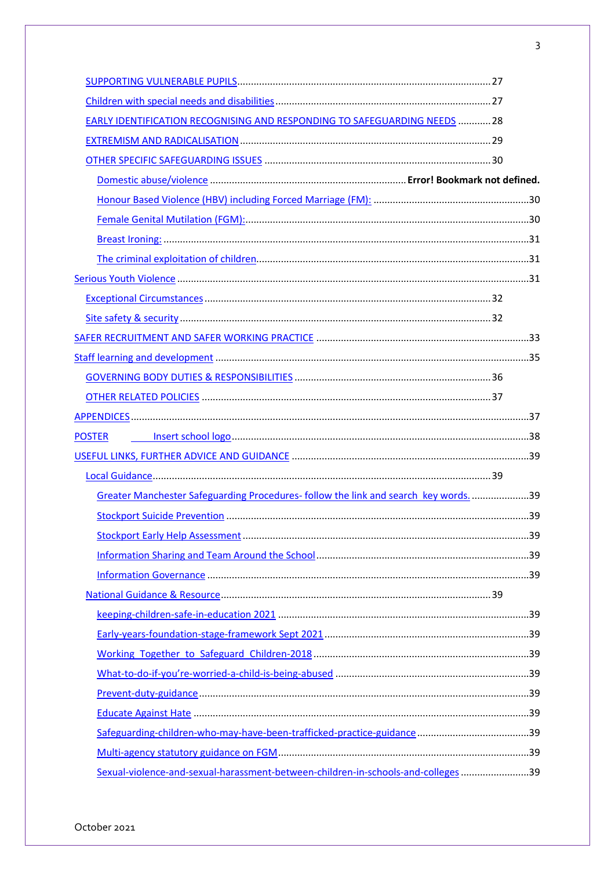| EARLY IDENTIFICATION RECOGNISING AND RESPONDING TO SAFEGUARDING NEEDS 28             |  |
|--------------------------------------------------------------------------------------|--|
|                                                                                      |  |
|                                                                                      |  |
|                                                                                      |  |
|                                                                                      |  |
|                                                                                      |  |
|                                                                                      |  |
|                                                                                      |  |
|                                                                                      |  |
|                                                                                      |  |
|                                                                                      |  |
|                                                                                      |  |
|                                                                                      |  |
|                                                                                      |  |
|                                                                                      |  |
|                                                                                      |  |
| <b>POSTER</b>                                                                        |  |
|                                                                                      |  |
|                                                                                      |  |
| Greater Manchester Safeguarding Procedures- follow the link and search key words. 39 |  |
|                                                                                      |  |
|                                                                                      |  |
|                                                                                      |  |
|                                                                                      |  |
|                                                                                      |  |
|                                                                                      |  |
|                                                                                      |  |
|                                                                                      |  |
|                                                                                      |  |
|                                                                                      |  |
|                                                                                      |  |
|                                                                                      |  |
|                                                                                      |  |
| Sexual-violence-and-sexual-harassment-between-children-in-schools-and-colleges 39    |  |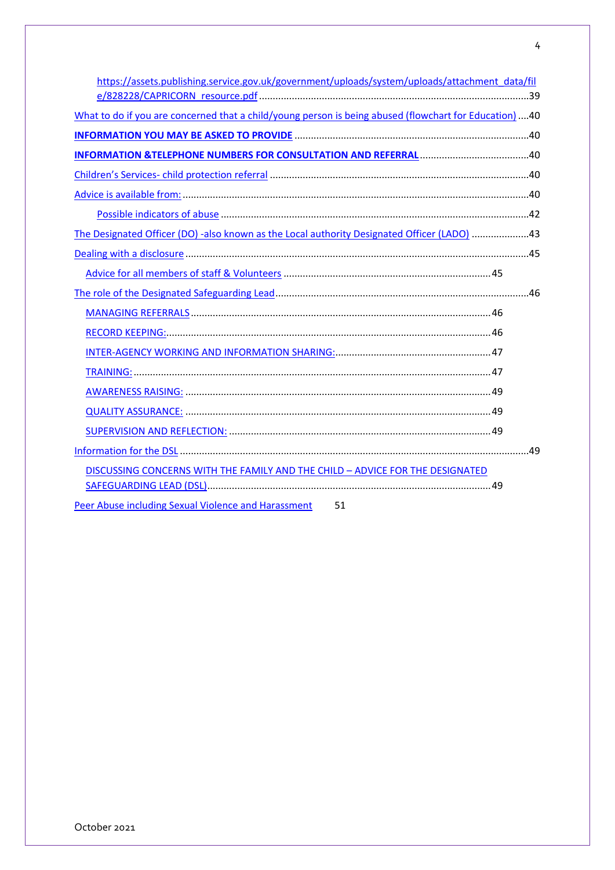| https://assets.publishing.service.gov.uk/government/uploads/system/uploads/attachment_data/fil        |  |
|-------------------------------------------------------------------------------------------------------|--|
|                                                                                                       |  |
| What to do if you are concerned that a child/young person is being abused (flowchart for Education)40 |  |
|                                                                                                       |  |
|                                                                                                       |  |
|                                                                                                       |  |
|                                                                                                       |  |
|                                                                                                       |  |
| The Designated Officer (DO) -also known as the Local authority Designated Officer (LADO) 43           |  |
|                                                                                                       |  |
|                                                                                                       |  |
|                                                                                                       |  |
|                                                                                                       |  |
|                                                                                                       |  |
|                                                                                                       |  |
|                                                                                                       |  |
|                                                                                                       |  |
|                                                                                                       |  |
|                                                                                                       |  |
|                                                                                                       |  |
| DISCUSSING CONCERNS WITH THE FAMILY AND THE CHILD - ADVICE FOR THE DESIGNATED                         |  |
|                                                                                                       |  |
| Peer Abuse including Sexual Violence and Harassment<br>51                                             |  |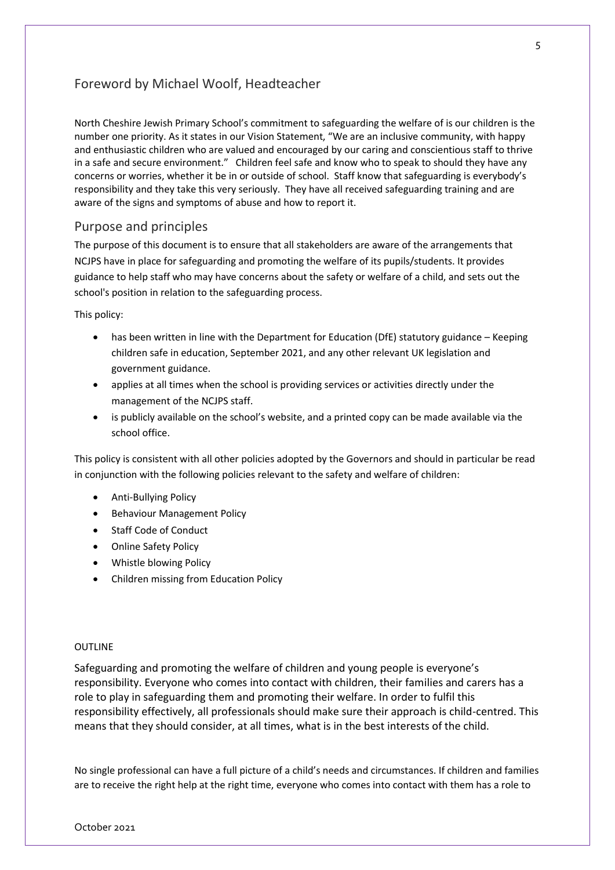### <span id="page-4-0"></span>Foreword by Michael Woolf, Headteacher

North Cheshire Jewish Primary School's commitment to safeguarding the welfare of is our children is the number one priority. As it states in our Vision Statement, "We are an inclusive community, with happy and enthusiastic children who are valued and encouraged by our caring and conscientious staff to thrive in a safe and secure environment." Children feel safe and know who to speak to should they have any concerns or worries, whether it be in or outside of school. Staff know that safeguarding is everybody's responsibility and they take this very seriously. They have all received safeguarding training and are aware of the signs and symptoms of abuse and how to report it.

### <span id="page-4-1"></span>Purpose and principles

The purpose of this document is to ensure that all stakeholders are aware of the arrangements that NCJPS have in place for safeguarding and promoting the welfare of its pupils/students. It provides guidance to help staff who may have concerns about the safety or welfare of a child, and sets out the school's position in relation to the safeguarding process.

This policy:

- has been written in line with the Department for Education (DfE) statutory guidance Keeping children safe in education, September 2021, and any other relevant UK legislation and government guidance.
- applies at all times when the school is providing services or activities directly under the management of the NCJPS staff.
- is publicly available on the school's website, and a printed copy can be made available via the school office.

This policy is consistent with all other policies adopted by the Governors and should in particular be read in conjunction with the following policies relevant to the safety and welfare of children:

- Anti-Bullying Policy
- Behaviour Management Policy
- Staff Code of Conduct
- Online Safety Policy
- Whistle blowing Policy
- Children missing from Education Policy

#### **OUTLINE**

Safeguarding and promoting the welfare of children and young people is everyone's responsibility. Everyone who comes into contact with children, their families and carers has a role to play in safeguarding them and promoting their welfare. In order to fulfil this responsibility effectively, all professionals should make sure their approach is child-centred. This means that they should consider, at all times, what is in the best interests of the child.

No single professional can have a full picture of a child's needs and circumstances. If children and families are to receive the right help at the right time, everyone who comes into contact with them has a role to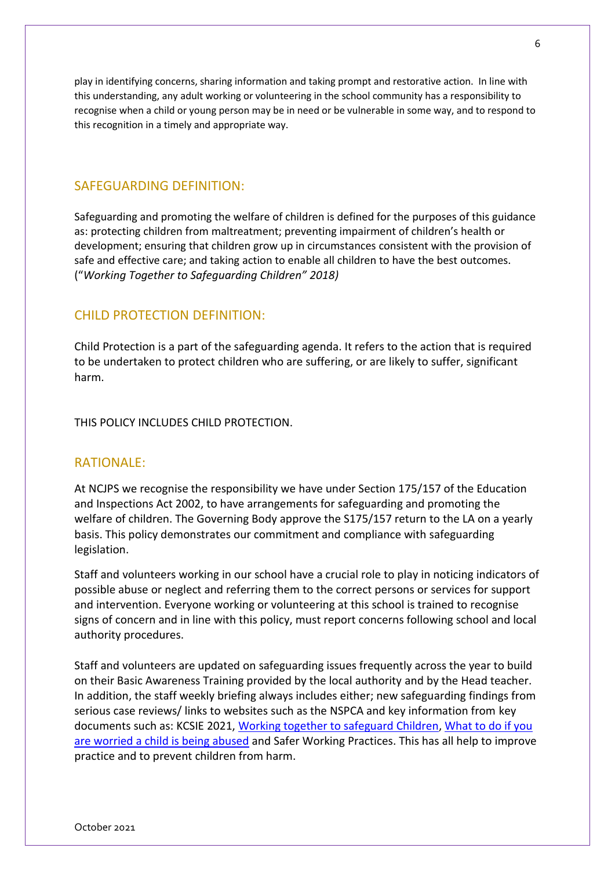play in identifying concerns, sharing information and taking prompt and restorative action. In line with this understanding, any adult working or volunteering in the school community has a responsibility to recognise when a child or young person may be in need or be vulnerable in some way, and to respond to this recognition in a timely and appropriate way.

#### <span id="page-5-0"></span>SAFEGUARDING DEFINITION:

Safeguarding and promoting the welfare of children is defined for the purposes of this guidance as: protecting children from maltreatment; preventing impairment of children's health or development; ensuring that children grow up in circumstances consistent with the provision of safe and effective care; and taking action to enable all children to have the best outcomes. ("*Working Together to Safeguarding Children" 2018)*

#### <span id="page-5-1"></span>CHILD PROTECTION DEFINITION:

Child Protection is a part of the safeguarding agenda. It refers to the action that is required to be undertaken to protect children who are suffering, or are likely to suffer, significant harm.

THIS POLICY INCLUDES CHILD PROTECTION.

### <span id="page-5-2"></span>RATIONALE:

At NCJPS we recognise the responsibility we have under Section 175/157 of the Education and Inspections Act 2002, to have arrangements for safeguarding and promoting the welfare of children. The Governing Body approve the S175/157 return to the LA on a yearly basis. This policy demonstrates our commitment and compliance with safeguarding legislation.

Staff and volunteers working in our school have a crucial role to play in noticing indicators of possible abuse or neglect and referring them to the correct persons or services for support and intervention. Everyone working or volunteering at this school is trained to recognise signs of concern and in line with this policy, must report concerns following school and local authority procedures.

Staff and volunteers are updated on safeguarding issues frequently across the year to build on their Basic Awareness Training provided by the local authority and by the Head teacher. In addition, the staff weekly briefing always includes either; new safeguarding findings from serious case reviews/ links to websites such as the NSPCA and key information from key documents such as: KCSIE 2021, [Working together to safeguard Children,](https://assets.publishing.service.gov.uk/government/uploads/system/uploads/attachment_data/file/942454/Working_together_to_safeguard_children_inter_agency_guidance.pdf) [What to do if you](https://assets.publishing.service.gov.uk/government/uploads/system/uploads/attachment_data/file/419604/What_to_do_if_you_re_worried_a_child_is_being_abused.pdf)  [are worried a child is being abused](https://assets.publishing.service.gov.uk/government/uploads/system/uploads/attachment_data/file/419604/What_to_do_if_you_re_worried_a_child_is_being_abused.pdf) and Safer Working Practices. This has all help to improve practice and to prevent children from harm.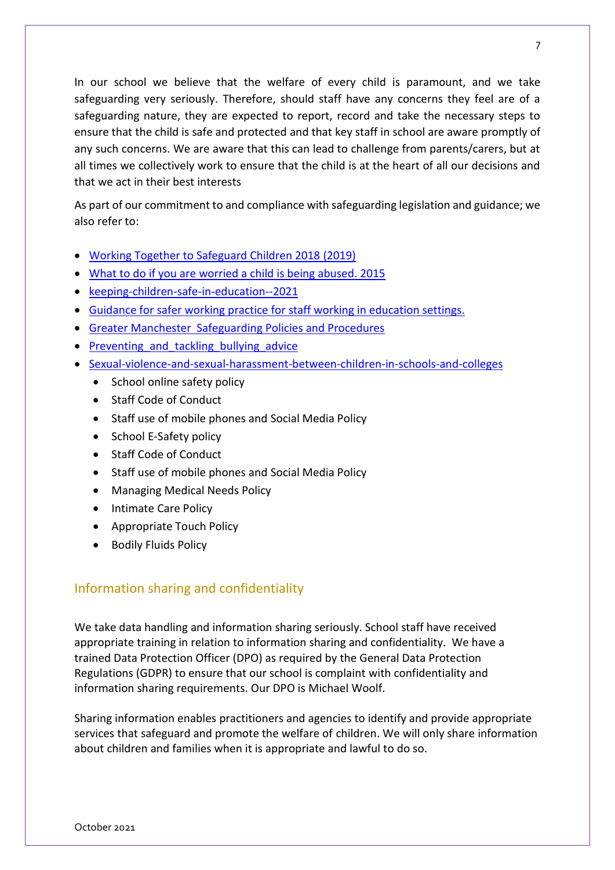In our school we believe that the welfare of every child is paramount, and we take safeguarding very seriously. Therefore, should staff have any concerns they feel are of a safeguarding nature, they are expected to report, record and take the necessary steps to ensure that the child is safe and protected and that key staff in school are aware promptly of any such concerns. We are aware that this can lead to challenge from parents/carers, but at all times we collectively work to ensure that the child is at the heart of all our decisions and that we act in their best interests

As part of our commitment to and compliance with safeguarding legislation and guidance; we also refer to:

- [Working Together to Safeguard Children 2018](https://assets.publishing.service.gov.uk/government/uploads/system/uploads/attachment_data/file/729914/Working_Together_to_Safeguard_Children-2018.pdf) (2019)
- What to do [if you are worried a child is being abused. 2015](https://assets.publishing.service.gov.uk/government/uploads/system/uploads/attachment_data/file/419604/What_to_do_if_you_re_worried_a_child_is_being_abused.pdf)
- [keeping-children-safe-in-education--2021](https://www.gov.uk/government/publications/keeping-children-safe-in-education--2)
- [Guidance for safer working practice for staff working in education settings.](https://c-cluster-110.uploads.documents.cimpress.io/v1/uploads/13ecce28-e8f2-49e9-83c6-c29337cd8071~110/original?tenant=vbu-digital)
- [Greater Manchester Safeguarding Policies and Procedures](http://greatermanchesterscb.proceduresonline.com/index.htm)
- Preventing and tackling bullying advice
- [Sexual-violence-and-sexual-harassment-between-children-in-schools-and-colleges](https://www.gov.uk/government/publications/sexual-violence-and-sexual-harassment-between-children-in-schools-and-colleges)
	- School online safety policy
	- Staff Code of Conduct
	- Staff use of mobile phones and Social Media Policy
	- School E-Safety policy
	- Staff Code of Conduct
	- Staff use of mobile phones and Social Media Policy
	- Managing Medical Needs Policy
	- Intimate Care Policy
	- Appropriate Touch Policy
	- Bodily Fluids Policy

### <span id="page-6-0"></span>Information sharing and confidentiality

We take data handling and information sharing seriously. School staff have received appropriate training in relation to information sharing and confidentiality. We have a trained Data Protection Officer (DPO) as required by the General Data Protection Regulations (GDPR) to ensure that our school is complaint with confidentiality and information sharing requirements. Our DPO is Michael Woolf.

Sharing information enables practitioners and agencies to identify and provide appropriate services that safeguard and promote the welfare of children. We will only share information about children and families when it is appropriate and lawful to do so.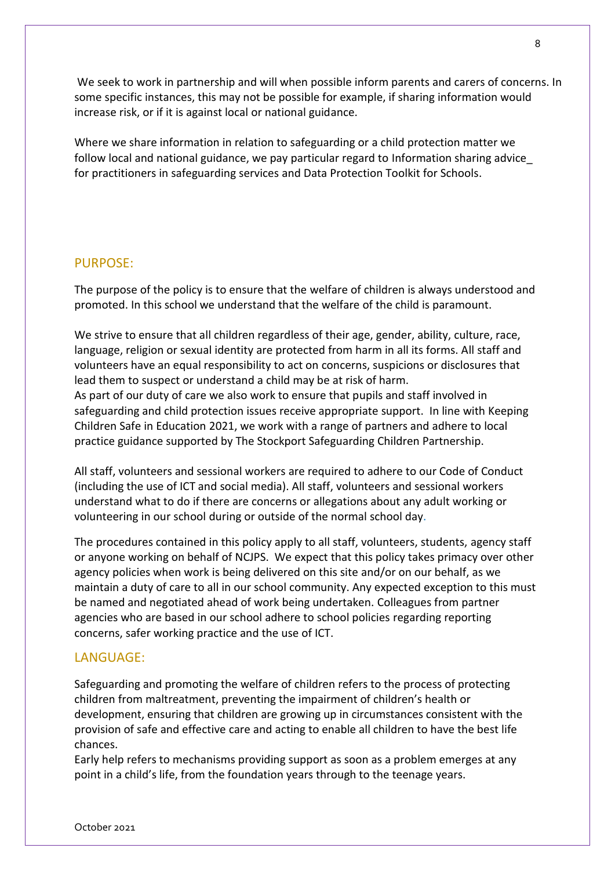We seek to work in partnership and will when possible inform parents and carers of concerns. In some specific instances, this may not be possible for example, if sharing information would increase risk, or if it is against local or national guidance.

Where we share information in relation to safeguarding or a child protection matter we follow local and national guidance, we pay particular regard to [Information sharing advice\\_](https://assets.publishing.service.gov.uk/government/uploads/system/uploads/attachment_data/file/721581/Information_sharing_advice_practitioners_safeguarding_services.pdf)  [for practitioners in safeguarding services](https://assets.publishing.service.gov.uk/government/uploads/system/uploads/attachment_data/file/721581/Information_sharing_advice_practitioners_safeguarding_services.pdf) and [Data Protection Toolkit for Schools.](https://assets.publishing.service.gov.uk/government/uploads/system/uploads/attachment_data/file/747620/Data_Protection_Toolkit_for_Schools_OpenBeta.pdf)

### <span id="page-7-0"></span>PURPOSE:

The purpose of the policy is to ensure that the welfare of children is always understood and promoted. In this school we understand that the welfare of the child is paramount.

We strive to ensure that all children regardless of their age, gender, ability, culture, race, language, religion or sexual identity are protected from harm in all its forms. All staff and volunteers have an equal responsibility to act on concerns, suspicions or disclosures that lead them to suspect or understand a child may be at risk of harm.

As part of our duty of care we also work to ensure that pupils and staff involved in safeguarding and child protection issues receive appropriate support. In line with Keeping Children Safe in Education 2021, we work with a range of partners and adhere to local practice guidance supported by The Stockport Safeguarding Children Partnership.

All staff, volunteers and sessional workers are required to adhere to our Code of Conduct (including the use of ICT and social media). All staff, volunteers and sessional workers understand what to do if there are concerns or allegations about any adult working or volunteering in our school during or outside of the normal school day.

The procedures contained in this policy apply to all staff, volunteers, students, agency staff or anyone working on behalf of NCJPS. We expect that this policy takes primacy over other agency policies when work is being delivered on this site and/or on our behalf, as we maintain a duty of care to all in our school community. Any expected exception to this must be named and negotiated ahead of work being undertaken. Colleagues from partner agencies who are based in our school adhere to school policies regarding reporting concerns, safer working practice and the use of ICT.

### <span id="page-7-1"></span>LANGUAGE:

Safeguarding and promoting the welfare of children refers to the process of protecting children from maltreatment, preventing the impairment of children's health or development, ensuring that children are growing up in circumstances consistent with the provision of safe and effective care and acting to enable all children to have the best life chances.

Early help refers to mechanisms providing support as soon as a problem emerges at any point in a child's life, from the foundation years through to the teenage years.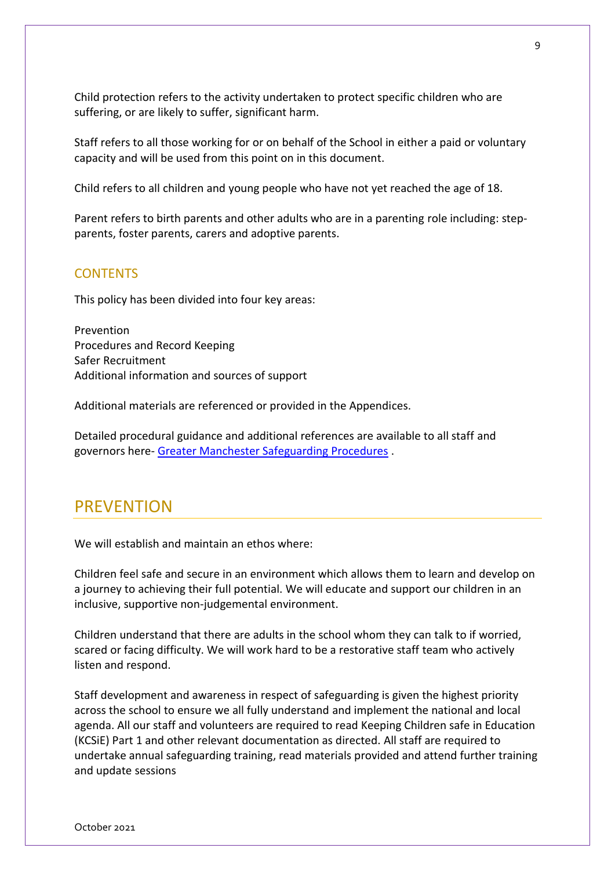Child protection refers to the activity undertaken to protect specific children who are suffering, or are likely to suffer, significant harm.

Staff refers to all those working for or on behalf of the School in either a paid or voluntary capacity and will be used from this point on in this document.

Child refers to all children and young people who have not yet reached the age of 18.

Parent refers to birth parents and other adults who are in a parenting role including: stepparents, foster parents, carers and adoptive parents.

### <span id="page-8-0"></span>**CONTENTS**

This policy has been divided into four key areas:

Prevention Procedures and Record Keeping Safer Recruitment Additional information and sources of support

Additional materials are referenced or provided in the Appendices.

Detailed procedural guidance and additional references are available to all staff and governors here- [Greater Manchester Safeguarding Procedures](http://greatermanchesterscb.proceduresonline.com/) .

# <span id="page-8-1"></span>**PREVENTION**

We will establish and maintain an ethos where:

Children feel safe and secure in an environment which allows them to learn and develop on a journey to achieving their full potential. We will educate and support our children in an inclusive, supportive non-judgemental environment.

Children understand that there are adults in the school whom they can talk to if worried, scared or facing difficulty. We will work hard to be a restorative staff team who actively listen and respond.

Staff development and awareness in respect of safeguarding is given the highest priority across the school to ensure we all fully understand and implement the national and local agenda. All our staff and volunteers are required to read Keeping Children safe in Education (KCSiE) Part 1 and other relevant documentation as directed. All staff are required to undertake annual safeguarding training, read materials provided and attend further training and update sessions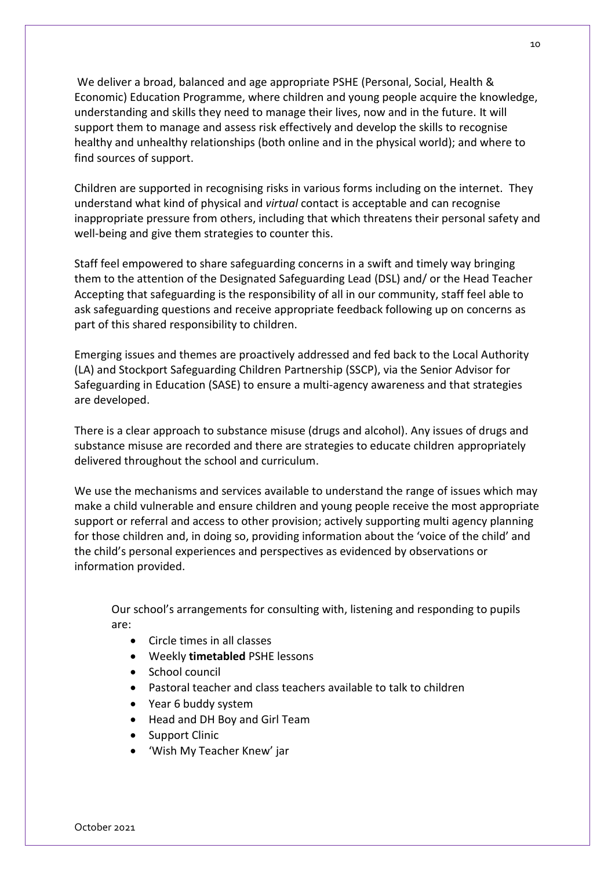We deliver a broad, balanced and age appropriate PSHE (Personal, Social, Health & Economic) Education Programme, where children and young people acquire the knowledge, understanding and skills they need to manage their lives, now and in the future. It will support them to manage and assess risk effectively and develop the skills to recognise healthy and unhealthy relationships (both online and in the physical world); and where to find sources of support.

Children are supported in recognising risks in various forms including on the internet. They understand what kind of physical and *virtual* contact is acceptable and can recognise inappropriate pressure from others, including that which threatens their personal safety and well-being and give them strategies to counter this.

Staff feel empowered to share safeguarding concerns in a swift and timely way bringing them to the attention of the Designated Safeguarding Lead (DSL) and/ or the Head Teacher Accepting that safeguarding is the responsibility of all in our community, staff feel able to ask safeguarding questions and receive appropriate feedback following up on concerns as part of this shared responsibility to children.

Emerging issues and themes are proactively addressed and fed back to the Local Authority (LA) and Stockport Safeguarding Children Partnership (SSCP), via the Senior Advisor for Safeguarding in Education (SASE) to ensure a multi-agency awareness and that strategies are developed.

There is a clear approach to substance misuse (drugs and alcohol). Any issues of drugs and substance misuse are recorded and there are strategies to educate children appropriately delivered throughout the school and curriculum.

We use the mechanisms and services available to understand the range of issues which may make a child vulnerable and ensure children and young people receive the most appropriate support or referral and access to other provision; actively supporting multi agency planning for those children and, in doing so, providing information about the 'voice of the child' and the child's personal experiences and perspectives as evidenced by observations or information provided.

Our school's arrangements for consulting with, listening and responding to pupils are:

- Circle times in all classes
- Weekly **timetabled** PSHE lessons
- School council
- Pastoral teacher and class teachers available to talk to children
- Year 6 buddy system
- Head and DH Boy and Girl Team
- Support Clinic
- 'Wish My Teacher Knew' jar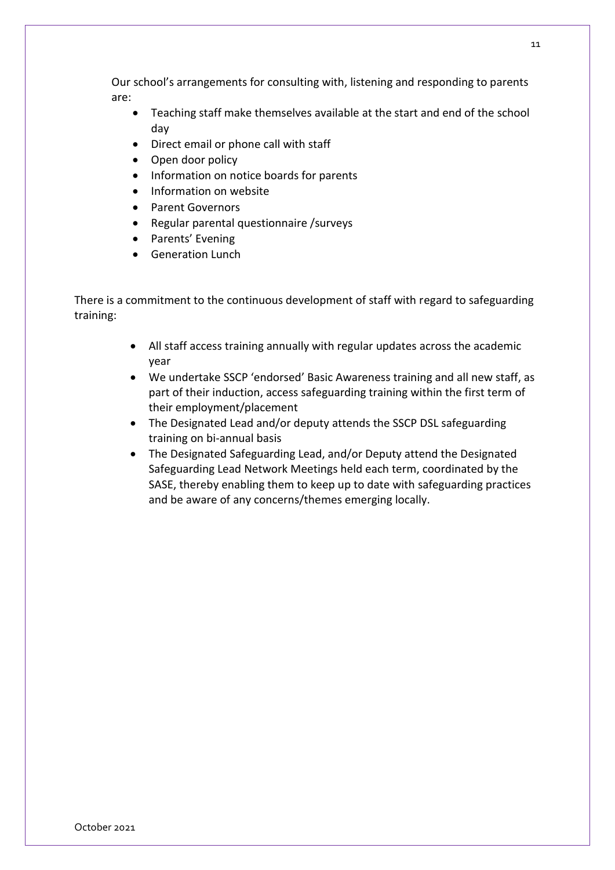Our school's arrangements for consulting with, listening and responding to parents are:

- Teaching staff make themselves available at the start and end of the school day
- Direct email or phone call with staff
- Open door policy
- Information on notice boards for parents
- Information on website
- Parent Governors
- Regular parental questionnaire /surveys
- Parents' Evening
- Generation Lunch

There is a commitment to the continuous development of staff with regard to safeguarding training:

- All staff access training annually with regular updates across the academic year
- We undertake SSCP 'endorsed' Basic Awareness training and all new staff, as part of their induction, access safeguarding training within the first term of their employment/placement
- The Designated Lead and/or deputy attends the SSCP DSL safeguarding training on bi-annual basis
- The Designated Safeguarding Lead, and/or Deputy attend the Designated Safeguarding Lead Network Meetings held each term, coordinated by the SASE, thereby enabling them to keep up to date with safeguarding practices and be aware of any concerns/themes emerging locally.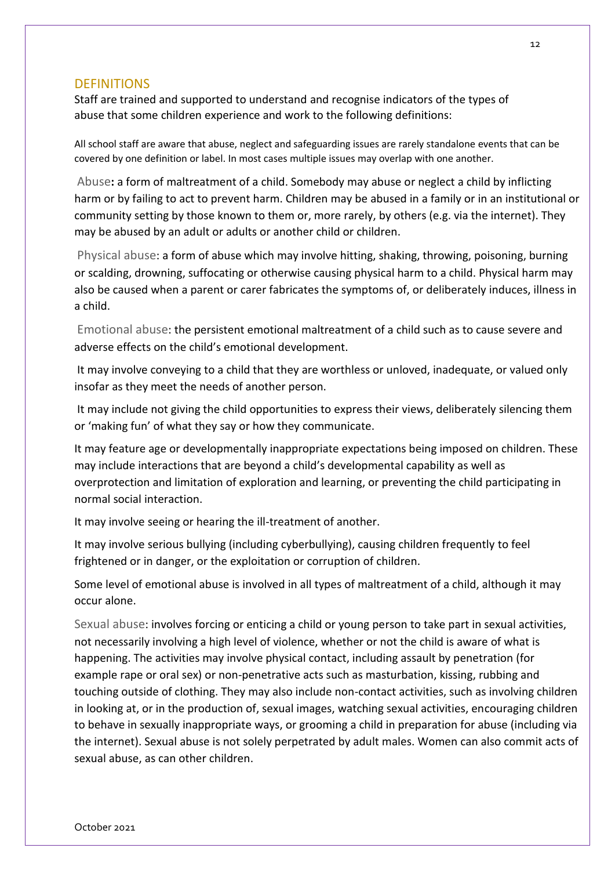#### <span id="page-11-0"></span>**DEFINITIONS**

Staff are trained and supported to understand and recognise indicators of the types of abuse that some children experience and work to the following definitions:

All school staff are aware that abuse, neglect and safeguarding issues are rarely standalone events that can be covered by one definition or label. In most cases multiple issues may overlap with one another.

<span id="page-11-1"></span>Abuse**:** a form of maltreatment of a child. Somebody may abuse or neglect a child by inflicting harm or by failing to act to prevent harm. Children may be abused in a family or in an institutional or community setting by those known to them or, more rarely, by others (e.g. via the internet). They may be abused by an adult or adults or another child or children.

<span id="page-11-2"></span>Physical abuse: a form of abuse which may involve hitting, shaking, throwing, poisoning, burning or scalding, drowning, suffocating or otherwise causing physical harm to a child. Physical harm may also be caused when a parent or carer fabricates the symptoms of, or deliberately induces, illness in a child.

<span id="page-11-3"></span>Emotional abuse: the persistent emotional maltreatment of a child such as to cause severe and adverse effects on the child's emotional development.

It may involve conveying to a child that they are worthless or unloved, inadequate, or valued only insofar as they meet the needs of another person.

It may include not giving the child opportunities to express their views, deliberately silencing them or 'making fun' of what they say or how they communicate.

It may feature age or developmentally inappropriate expectations being imposed on children. These may include interactions that are beyond a child's developmental capability as well as overprotection and limitation of exploration and learning, or preventing the child participating in normal social interaction.

It may involve seeing or hearing the ill-treatment of another.

It may involve serious bullying (including cyberbullying), causing children frequently to feel frightened or in danger, or the exploitation or corruption of children.

Some level of emotional abuse is involved in all types of maltreatment of a child, although it may occur alone.

<span id="page-11-4"></span>Sexual abuse: involves forcing or enticing a child or young person to take part in sexual activities, not necessarily involving a high level of violence, whether or not the child is aware of what is happening. The activities may involve physical contact, including assault by penetration (for example rape or oral sex) or non-penetrative acts such as masturbation, kissing, rubbing and touching outside of clothing. They may also include non-contact activities, such as involving children in looking at, or in the production of, sexual images, watching sexual activities, encouraging children to behave in sexually inappropriate ways, or grooming a child in preparation for abuse (including via the internet). Sexual abuse is not solely perpetrated by adult males. Women can also commit acts of sexual abuse, as can other children.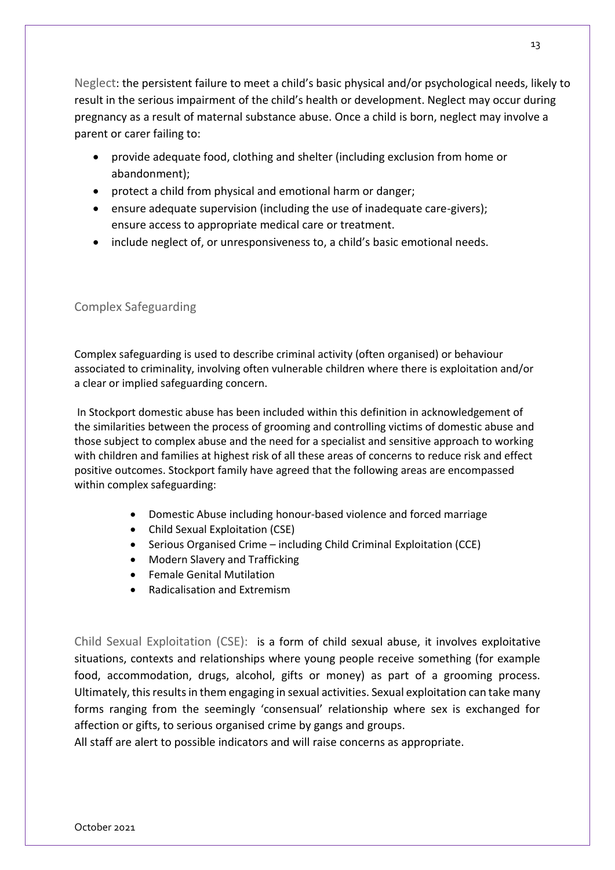<span id="page-12-0"></span>Neglect: the persistent failure to meet a child's basic physical and/or psychological needs, likely to result in the serious impairment of the child's health or development. Neglect may occur during pregnancy as a result of maternal substance abuse. Once a child is born, neglect may involve a parent or carer failing to:

- provide adequate food, clothing and shelter (including exclusion from home or abandonment);
- protect a child from physical and emotional harm or danger;
- ensure adequate supervision (including the use of inadequate care-givers); ensure access to appropriate medical care or treatment.
- include neglect of, or unresponsiveness to, a child's basic emotional needs.

### <span id="page-12-1"></span>Complex Safeguarding

Complex safeguarding is used to describe criminal activity (often organised) or behaviour associated to criminality, involving often vulnerable children where there is exploitation and/or a clear or implied safeguarding concern.

In Stockport domestic abuse has been included within this definition in acknowledgement of the similarities between the process of grooming and controlling victims of domestic abuse and those subject to complex abuse and the need for a specialist and sensitive approach to working with children and families at highest risk of all these areas of concerns to reduce risk and effect positive outcomes. Stockport family have agreed that the following areas are encompassed within complex safeguarding:

- Domestic Abuse including honour-based violence and forced marriage
- Child Sexual Exploitation (CSE)
- Serious Organised Crime including Child Criminal Exploitation (CCE)
- Modern Slavery and Trafficking
- Female Genital Mutilation
- Radicalisation and Extremism

<span id="page-12-2"></span>Child Sexual Exploitation (CSE): is a form of child sexual abuse, it involves exploitative situations, contexts and relationships where young people receive something (for example food, accommodation, drugs, alcohol, gifts or money) as part of a grooming process. Ultimately, this results in them engaging in sexual activities. Sexual exploitation can take many forms ranging from the seemingly 'consensual' relationship where sex is exchanged for affection or gifts, to serious organised crime by gangs and groups.

All staff are alert to possible indicators and will raise concerns as appropriate.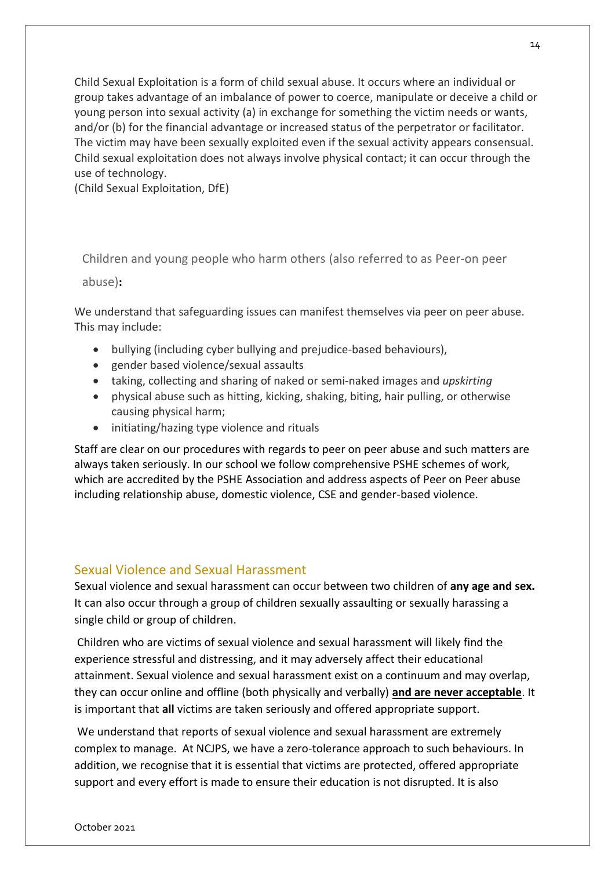Child Sexual Exploitation is a form of child sexual abuse. It occurs where an individual or group takes advantage of an imbalance of power to coerce, manipulate or deceive a child or young person into sexual activity (a) in exchange for something the victim needs or wants, and/or (b) for the financial advantage or increased status of the perpetrator or facilitator. The victim may have been sexually exploited even if the sexual activity appears consensual. Child sexual exploitation does not always involve physical contact; it can occur through the use of technology.

(Child Sexual Exploitation, DfE)

<span id="page-13-0"></span>Children and young people who harm others (also referred to as Peer-on peer

abuse)**:** 

We understand that safeguarding issues can manifest themselves via peer on peer abuse. This may include:

- bullying (including cyber bullying and prejudice-based behaviours),
- gender based violence/sexual assaults
- taking, collecting and sharing of naked or semi-naked images and *upskirting*
- physical abuse such as hitting, kicking, shaking, biting, hair pulling, or otherwise causing physical harm;
- initiating/hazing type violence and rituals

Staff are clear on our procedures with regards to peer on peer abuse and such matters are always taken seriously. In our school we follow comprehensive PSHE schemes of work, which are accredited by the PSHE Association and address aspects of Peer on Peer abuse including relationship abuse, domestic violence, CSE and gender-based violence.

### <span id="page-13-1"></span>Sexual Violence and Sexual Harassment

Sexual violence and sexual harassment can occur between two children of **any age and sex.**  It can also occur through a group of children sexually assaulting or sexually harassing a single child or group of children.

Children who are victims of sexual violence and sexual harassment will likely find the experience stressful and distressing, and it may adversely affect their educational attainment. Sexual violence and sexual harassment exist on a continuum and may overlap, they can occur online and offline (both physically and verbally) **and are never acceptable**. It is important that **all** victims are taken seriously and offered appropriate support.

We understand that reports of sexual violence and sexual harassment are extremely complex to manage. At NCJPS, we have a zero-tolerance approach to such behaviours. In addition, we recognise that it is essential that victims are protected, offered appropriate support and every effort is made to ensure their education is not disrupted. It is also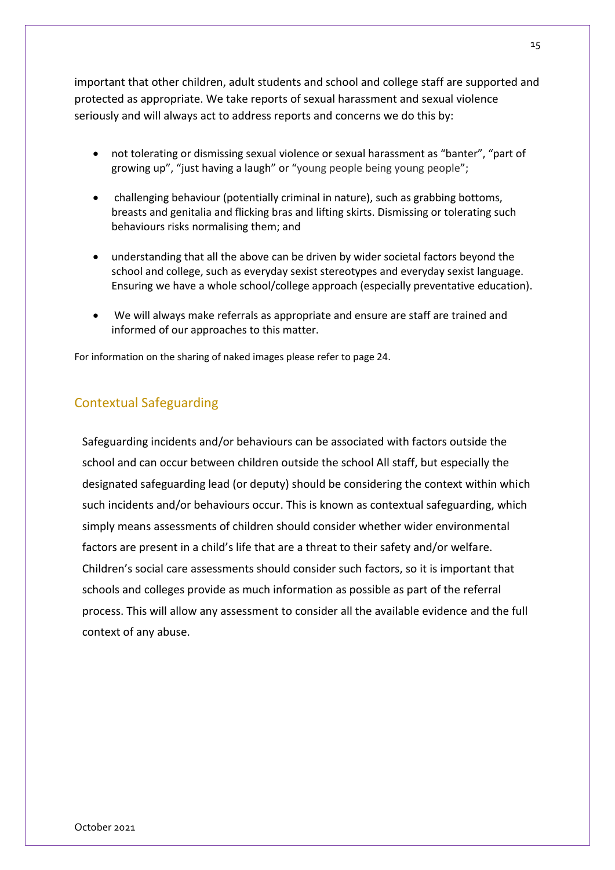important that other children, adult students and school and college staff are supported and protected as appropriate. We take reports of sexual harassment and sexual violence seriously and will always act to address reports and concerns we do this by:

- not tolerating or dismissing sexual violence or sexual harassment as "banter", "part of growing up", "just having a laugh" or "young people being young people";
- challenging behaviour (potentially criminal in nature), such as grabbing bottoms, breasts and genitalia and flicking bras and lifting skirts. Dismissing or tolerating such behaviours risks normalising them; and
- understanding that all the above can be driven by wider societal factors beyond the school and college, such as everyday sexist stereotypes and everyday sexist language. Ensuring we have a whole school/college approach (especially preventative education).
- We will always make referrals as appropriate and ensure are staff are trained and informed of our approaches to this matter.

For information on the sharing of naked images please refer to page 24.

# <span id="page-14-0"></span>Contextual Safeguarding

Safeguarding incidents and/or behaviours can be associated with factors outside the school and can occur between children outside the school All staff, but especially the designated safeguarding lead (or deputy) should be considering the context within which such incidents and/or behaviours occur. This is known as contextual safeguarding, which simply means assessments of children should consider whether wider environmental factors are present in a child's life that are a threat to their safety and/or welfare. Children's social care assessments should consider such factors, so it is important that schools and colleges provide as much information as possible as part of the referral process. This will allow any assessment to consider all the available evidence and the full context of any abuse.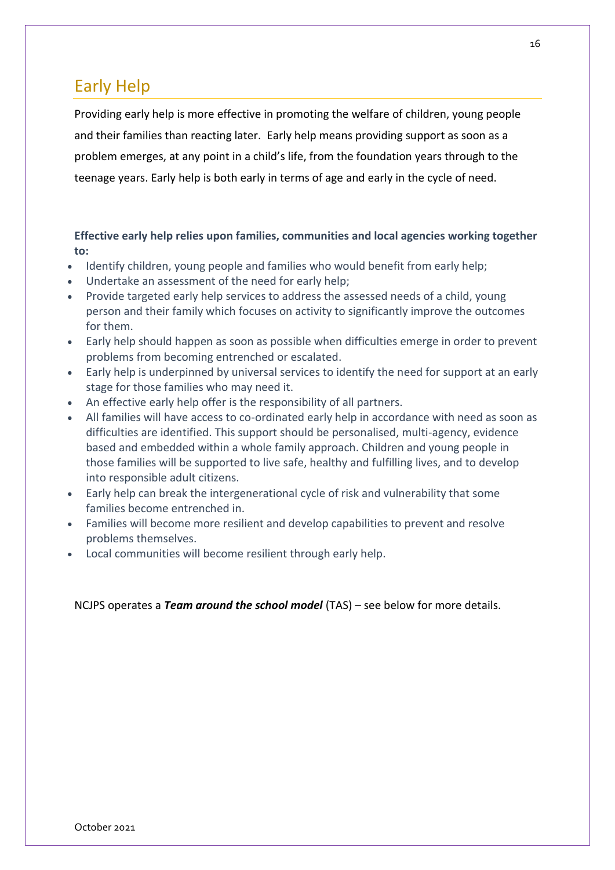# <span id="page-15-0"></span>Early Help

Providing early help is more effective in promoting the welfare of children, young people and their families than reacting later. Early help means providing support as soon as a problem emerges, at any point in a child's life, from the foundation years through to the teenage years. Early help is both early in terms of age and early in the cycle of need.

**Effective early help relies upon families, communities and local agencies working together to:**

- Identify children, young people and families who would benefit from early help;
- Undertake an assessment of the need for early help;
- Provide targeted early help services to address the assessed needs of a child, young person and their family which focuses on activity to significantly improve the outcomes for them.
- Early help should happen as soon as possible when difficulties emerge in order to prevent problems from becoming entrenched or escalated.
- Early help is underpinned by universal services to identify the need for support at an early stage for those families who may need it.
- An effective early help offer is the responsibility of all partners.
- All families will have access to co-ordinated early help in accordance with need as soon as difficulties are identified. This support should be personalised, multi-agency, evidence based and embedded within a whole family approach. Children and young people in those families will be supported to live safe, healthy and fulfilling lives, and to develop into responsible adult citizens.
- Early help can break the intergenerational cycle of risk and vulnerability that some families become entrenched in.
- Families will become more resilient and develop capabilities to prevent and resolve problems themselves.
- Local communities will become resilient through early help.

NCJPS operates a *Team around the school model* (TAS) – see below for more details.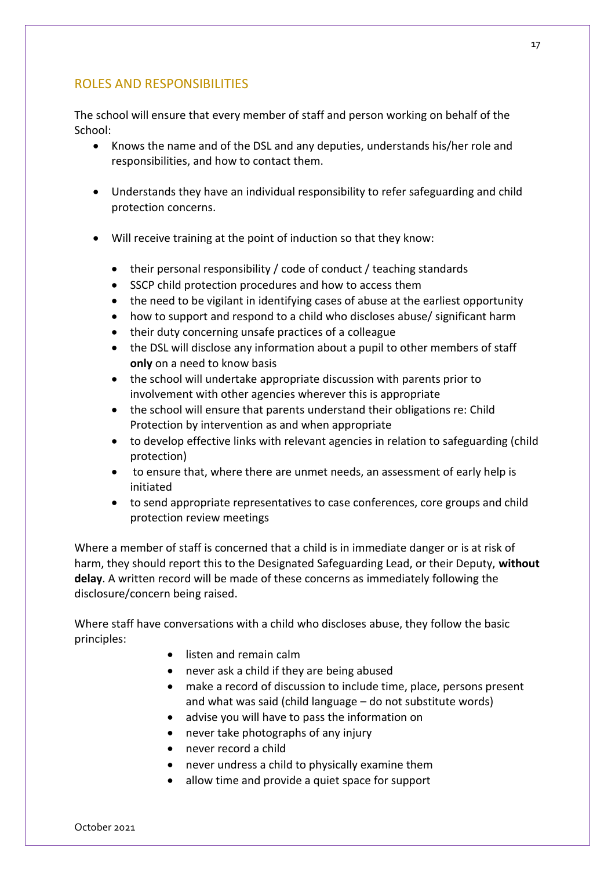# <span id="page-16-0"></span>ROLES AND RESPONSIBILITIES

The school will ensure that every member of staff and person working on behalf of the School:

- Knows the name and of the DSL and any deputies, understands his/her role and responsibilities, and how to contact them.
- Understands they have an individual responsibility to refer safeguarding and child protection concerns.
- Will receive training at the point of induction so that they know:
	- their personal responsibility / code of conduct / teaching standards
	- SSCP child protection procedures and how to access them
	- the need to be vigilant in identifying cases of abuse at the earliest opportunity
	- how to support and respond to a child who discloses abuse/ significant harm
	- their duty concerning unsafe practices of a colleague
	- the DSL will disclose any information about a pupil to other members of staff **only** on a need to know basis
	- the school will undertake appropriate discussion with parents prior to involvement with other agencies wherever this is appropriate
	- the school will ensure that parents understand their obligations re: Child Protection by intervention as and when appropriate
	- to develop effective links with relevant agencies in relation to safeguarding (child protection)
	- to ensure that, where there are unmet needs, an assessment of early help is initiated
	- to send appropriate representatives to case conferences, core groups and child protection review meetings

Where a member of staff is concerned that a child is in immediate danger or is at risk of harm, they should report this to the Designated Safeguarding Lead, or their Deputy, **without delay**. A written record will be made of these concerns as immediately following the disclosure/concern being raised.

Where staff have conversations with a child who discloses abuse, they follow the basic principles:

- listen and remain calm
- never ask a child if they are being abused
- make a record of discussion to include time, place, persons present and what was said (child language – do not substitute words)
- advise you will have to pass the information on
- never take photographs of any injury
- never record a child
- never undress a child to physically examine them
- allow time and provide a quiet space for support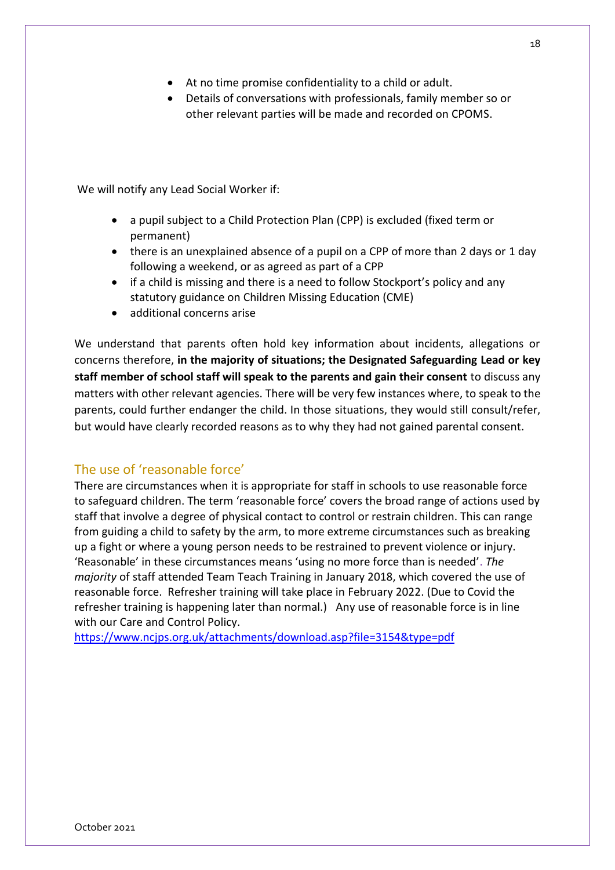- At no time promise confidentiality to a child or adult.
- Details of conversations with professionals, family member so or other relevant parties will be made and recorded on CPOMS.

We will notify any Lead Social Worker if:

- a pupil subject to a Child Protection Plan (CPP) is excluded (fixed term or permanent)
- there is an unexplained absence of a pupil on a CPP of more than 2 days or 1 day following a weekend, or as agreed as part of a CPP
- if a child is missing and there is a need to follow Stockport's policy and any statutory guidance on Children Missing Education (CME)
- additional concerns arise

We understand that parents often hold key information about incidents, allegations or concerns therefore, **in the majority of situations; the Designated Safeguarding Lead or key staff member of school staff will speak to the parents and gain their consent** to discuss any matters with other relevant agencies. There will be very few instances where, to speak to the parents, could further endanger the child. In those situations, they would still consult/refer, but would have clearly recorded reasons as to why they had not gained parental consent.

# <span id="page-17-0"></span>The use of 'reasonable force'

There are circumstances when it is appropriate for staff in schools to use reasonable force to safeguard children. The term 'reasonable force' covers the broad range of actions used by staff that involve a degree of physical contact to control or restrain children. This can range from guiding a child to safety by the arm, to more extreme circumstances such as breaking up a fight or where a young person needs to be restrained to prevent violence or injury. 'Reasonable' in these circumstances means 'using no more force than is needed'. *The majority* of staff attended Team Teach Training in January 2018, which covered the use of reasonable force. Refresher training will take place in February 2022. (Due to Covid the refresher training is happening later than normal.) Any use of reasonable force is in line with our Care and Control Policy.

<https://www.ncjps.org.uk/attachments/download.asp?file=3154&type=pdf>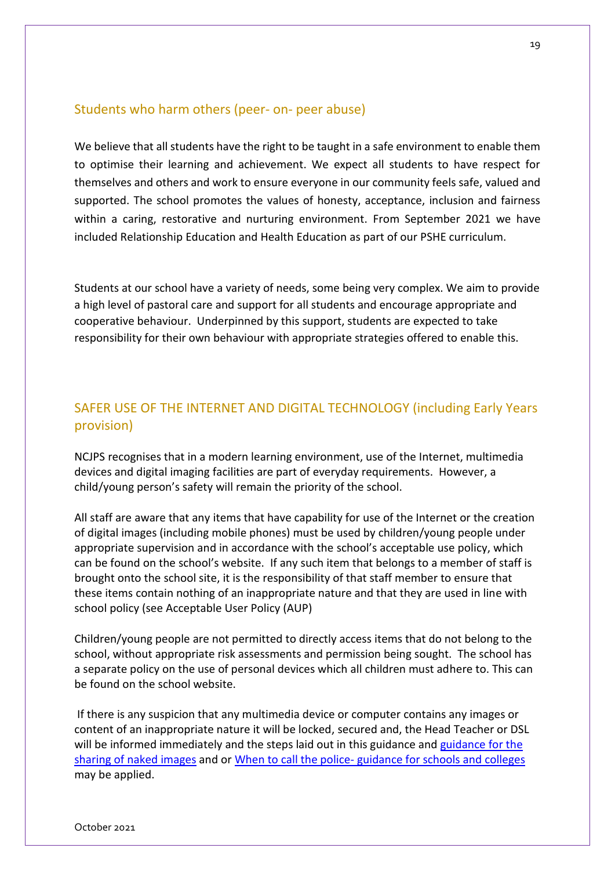### <span id="page-18-0"></span>Students who harm others (peer- on- peer abuse)

We believe that all students have the right to be taught in a safe environment to enable them to optimise their learning and achievement. We expect all students to have respect for themselves and others and work to ensure everyone in our community feels safe, valued and supported. The school promotes the values of honesty, acceptance, inclusion and fairness within a caring, restorative and nurturing environment. From September 2021 we have included Relationship Education and Health Education as part of our PSHE curriculum.

Students at our school have a variety of needs, some being very complex. We aim to provide a high level of pastoral care and support for all students and encourage appropriate and cooperative behaviour. Underpinned by this support, students are expected to take responsibility for their own behaviour with appropriate strategies offered to enable this.

# <span id="page-18-1"></span>SAFER USE OF THE INTERNET AND DIGITAL TECHNOLOGY (including Early Years provision)

NCJPS recognises that in a modern learning environment, use of the Internet, multimedia devices and digital imaging facilities are part of everyday requirements. However, a child/young person's safety will remain the priority of the school.

All staff are aware that any items that have capability for use of the Internet or the creation of digital images (including mobile phones) must be used by children/young people under appropriate supervision and in accordance with the school's acceptable use policy, which can be found on the school's website. If any such item that belongs to a member of staff is brought onto the school site, it is the responsibility of that staff member to ensure that these items contain nothing of an inappropriate nature and that they are used in line with school policy (see Acceptable User Policy (AUP)

Children/young people are not permitted to directly access items that do not belong to the school, without appropriate risk assessments and permission being sought. The school has a separate policy on the use of personal devices which all children must adhere to. This can be found on the school website.

If there is any suspicion that any multimedia device or computer contains any images or content of an inappropriate nature it will be locked, secured and, the Head Teacher or DSL will be informed immediately and the steps laid out in this guidance and guidance for the [sharing of naked](https://www.gov.uk/government/publications/sharing-nudes-and-semi-nudes-advice-for-education-settings-working-with-children-and-young-people/sharing-nudes-and-semi-nudes-how-to-respond-to-an-incident-overview) images and or When to call the police- [guidance for schools and colleges](https://www.npcc.police.uk/documents/Children%20and%20Young%20people/When%20to%20call%20the%20police%20guidance%20for%20schools%20and%20colleges.pdf) may be applied.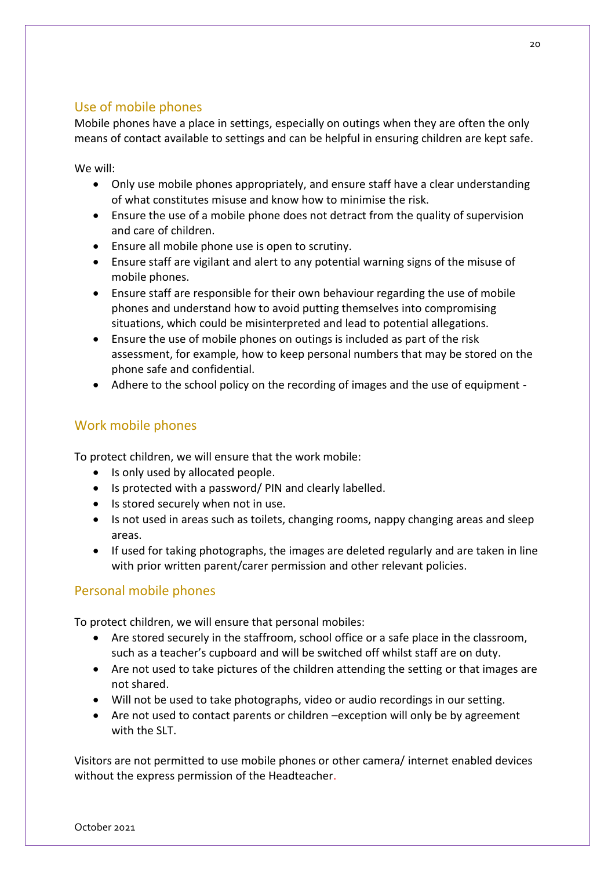# <span id="page-19-0"></span>Use of mobile phones

Mobile phones have a place in settings, especially on outings when they are often the only means of contact available to settings and can be helpful in ensuring children are kept safe.

We will:

- Only use mobile phones appropriately, and ensure staff have a clear understanding of what constitutes misuse and know how to minimise the risk.
- Ensure the use of a mobile phone does not detract from the quality of supervision and care of children.
- Ensure all mobile phone use is open to scrutiny.
- Ensure staff are vigilant and alert to any potential warning signs of the misuse of mobile phones.
- Ensure staff are responsible for their own behaviour regarding the use of mobile phones and understand how to avoid putting themselves into compromising situations, which could be misinterpreted and lead to potential allegations.
- Ensure the use of mobile phones on outings is included as part of the risk assessment, for example, how to keep personal numbers that may be stored on the phone safe and confidential.
- Adhere to the school policy on the recording of images and the use of equipment -

# <span id="page-19-1"></span>Work mobile phones

To protect children, we will ensure that the work mobile:

- Is only used by allocated people.
- Is protected with a password/ PIN and clearly labelled.
- Is stored securely when not in use.
- Is not used in areas such as toilets, changing rooms, nappy changing areas and sleep areas.
- If used for taking photographs, the images are deleted regularly and are taken in line with prior written parent/carer permission and other relevant policies.

# <span id="page-19-2"></span>Personal mobile phones

To protect children, we will ensure that personal mobiles:

- Are stored securely in the staffroom, school office or a safe place in the classroom, such as a teacher's cupboard and will be switched off whilst staff are on duty.
- Are not used to take pictures of the children attending the setting or that images are not shared.
- Will not be used to take photographs, video or audio recordings in our setting.
- Are not used to contact parents or children –exception will only be by agreement with the SLT.

Visitors are not permitted to use mobile phones or other camera/ internet enabled devices without the express permission of the Headteacher.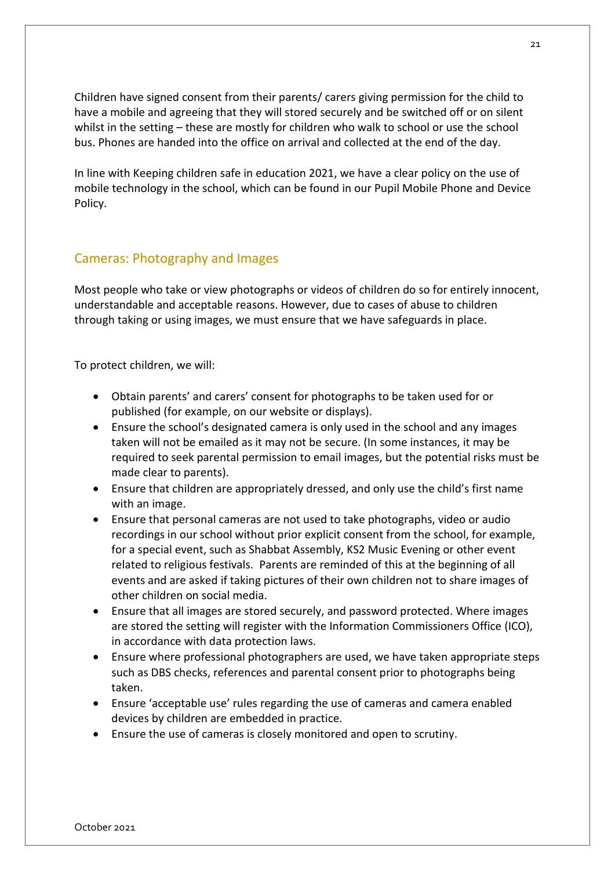Children have signed consent from their parents/ carers giving permission for the child to have a mobile and agreeing that they will stored securely and be switched off or on silent whilst in the setting – these are mostly for children who walk to school or use the school bus. Phones are handed into the office on arrival and collected at the end of the day.

In line with Keeping children safe in education 2021, we have a clear policy on the use of mobile technology in the school, which can be found in our Pupil Mobile Phone and Device Policy.

# <span id="page-20-0"></span>Cameras: Photography and Images

Most people who take or view photographs or videos of children do so for entirely innocent, understandable and acceptable reasons. However, due to cases of abuse to children through taking or using images, we must ensure that we have safeguards in place.

To protect children, we will:

- <span id="page-20-1"></span>• Obtain parents' and carers' consent for photographs to be taken used for or published (for example, on our website or displays).
- Ensure the school's designated camera is only used in the school and any images taken will not be emailed as it may not be secure. (In some instances, it may be required to seek parental permission to email images, but the potential risks must be made clear to parents).
- Ensure that children are appropriately dressed, and only use the child's first name with an image.
- Ensure that personal cameras are not used to take photographs, video or audio recordings in our school without prior explicit consent from the school, for example, for a special event, such as Shabbat Assembly, KS2 Music Evening or other event related to religious festivals. Parents are reminded of this at the beginning of all events and are asked if taking pictures of their own children not to share images of other children on social media.
- Ensure that all images are stored securely, and password protected. Where images are stored the setting will register with the Information Commissioners Office (ICO), in accordance with data protection laws.
- Ensure where professional photographers are used, we have taken appropriate steps such as DBS checks, references and parental consent prior to photographs being taken.
- Ensure 'acceptable use' rules regarding the use of cameras and camera enabled devices by children are embedded in practice.
- Ensure the use of cameras is closely monitored and open to scrutiny.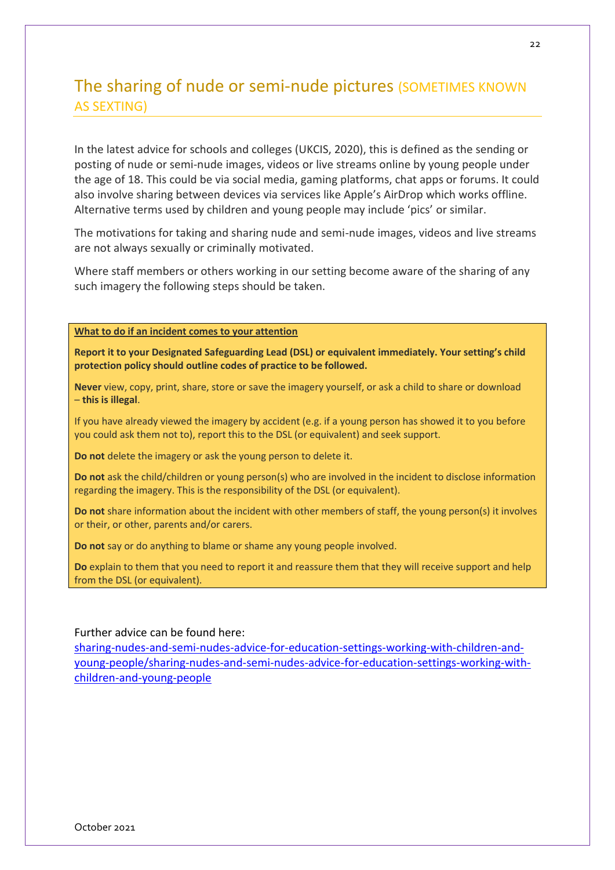# The sharing of nude or semi-nude pictures (SOMETIMES KNOWN AS SEXTING)

In the latest advice for schools and colleges (UKCIS, 2020), this is defined as the sending or posting of nude or semi-nude images, videos or live streams online by young people under the age of 18. This could be via social media, gaming platforms, chat apps or forums. It could also involve sharing between devices via services like Apple's AirDrop which works offline. Alternative terms used by children and young people may include 'pics' or similar.

The motivations for taking and sharing nude and semi-nude images, videos and live streams are not always sexually or criminally motivated.

Where staff members or others working in our setting become aware of the sharing of any such imagery the following steps should be taken.

**What to do if an incident comes to your attention**

**Report it to your Designated Safeguarding Lead (DSL) or equivalent immediately. Your setting's child protection policy should outline codes of practice to be followed.**

**Never** view, copy, print, share, store or save the imagery yourself, or ask a child to share or download – **this is illegal**.

If you have already viewed the imagery by accident (e.g. if a young person has showed it to you before you could ask them not to), report this to the DSL (or equivalent) and seek support.

**Do not** delete the imagery or ask the young person to delete it.

**Do not** ask the child/children or young person(s) who are involved in the incident to disclose information regarding the imagery. This is the responsibility of the DSL (or equivalent).

**Do not** share information about the incident with other members of staff, the young person(s) it involves or their, or other, parents and/or carers.

**Do not** say or do anything to blame or shame any young people involved.

**Do** explain to them that you need to report it and reassure them that they will receive support and help from the DSL (or equivalent).

Further advice can be found here:

[sharing-nudes-and-semi-nudes-advice-for-education-settings-working-with-children-and](https://www.gov.uk/government/publications/sharing-nudes-and-semi-nudes-advice-for-education-settings-working-with-children-and-young-people/sharing-nudes-and-semi-nudes-advice-for-education-settings-working-with-children-and-young-people)[young-people/sharing-nudes-and-semi-nudes-advice-for-education-settings-working-with](https://www.gov.uk/government/publications/sharing-nudes-and-semi-nudes-advice-for-education-settings-working-with-children-and-young-people/sharing-nudes-and-semi-nudes-advice-for-education-settings-working-with-children-and-young-people)[children-and-young-people](https://www.gov.uk/government/publications/sharing-nudes-and-semi-nudes-advice-for-education-settings-working-with-children-and-young-people/sharing-nudes-and-semi-nudes-advice-for-education-settings-working-with-children-and-young-people)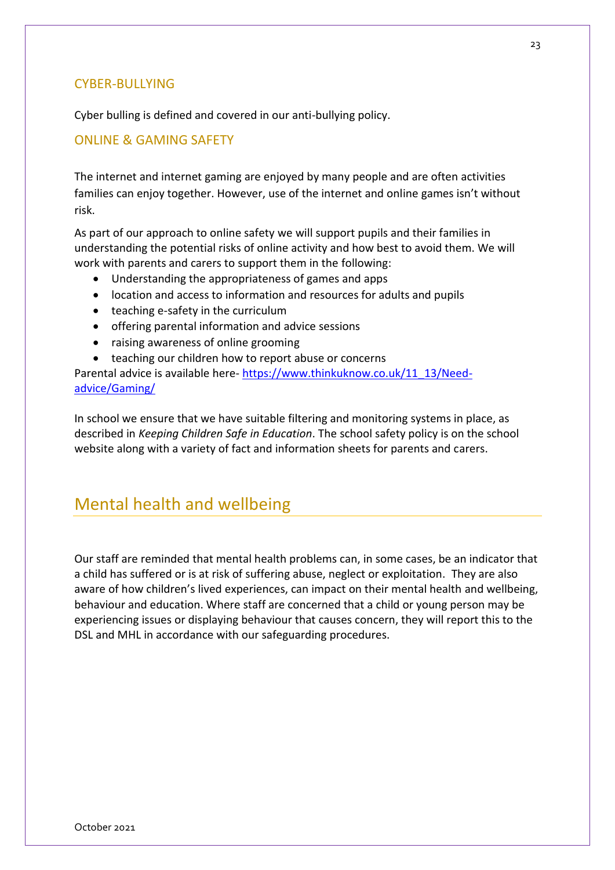# <span id="page-22-0"></span>CYBER-BULLYING

Cyber bulling is defined and covered in our anti-bullying policy.

### <span id="page-22-1"></span>ONLINE & GAMING SAFETY

The internet and internet gaming are enjoyed by many people and are often activities families can enjoy together. However, use of the internet and online games isn't without risk.

As part of our approach to online safety we will support pupils and their families in understanding the potential risks of online activity and how best to avoid them. We will work with parents and carers to support them in the following:

- Understanding the appropriateness of games and apps
- location and access to information and resources for adults and pupils
- teaching e-safety in the curriculum
- offering parental information and advice sessions
- raising awareness of online grooming
- teaching our children how to report abuse or concerns

Parental advice is available here- [https://www.thinkuknow.co.uk/11\\_13/Need](https://www.thinkuknow.co.uk/11_13/Need-advice/Gaming/)[advice/Gaming/](https://www.thinkuknow.co.uk/11_13/Need-advice/Gaming/)

In school we ensure that we have suitable filtering and monitoring systems in place, as described in *Keeping Children Safe in Education*. The school safety policy is on the school website along with a variety of fact and information sheets for parents and carers.

# <span id="page-22-2"></span>Mental health and wellbeing

Our staff are reminded that mental health problems can, in some cases, be an indicator that a child has suffered or is at risk of suffering abuse, neglect or exploitation. They are also aware of how children's lived experiences, can impact on their mental health and wellbeing, behaviour and education. Where staff are concerned that a child or young person may be experiencing issues or displaying behaviour that causes concern, they will report this to the DSL and MHL in accordance with our safeguarding procedures.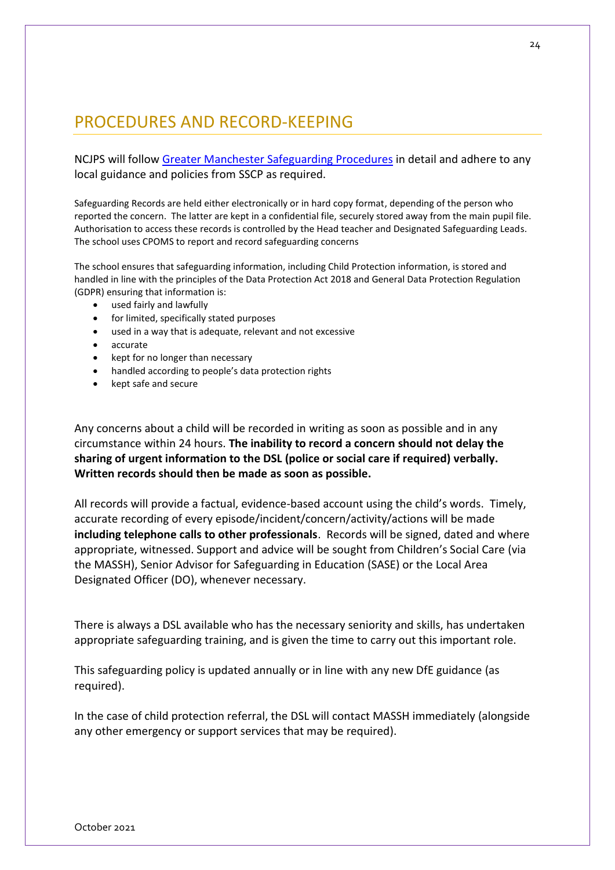# <span id="page-23-0"></span>PROCEDURES AND RECORD-KEEPING

NCJPS will follow [Greater Manchester Safeguarding Procedures](http://greatermanchesterscb.proceduresonline.com/) in detail and adhere to any local guidance and policies from SSCP as required.

Safeguarding Records are held either electronically or in hard copy format, depending of the person who reported the concern. The latter are kept in a confidential file, securely stored away from the main pupil file. Authorisation to access these records is controlled by the Head teacher and Designated Safeguarding Leads. The school uses CPOMS to report and record safeguarding concerns

The school ensures that safeguarding information, including Child Protection information, is stored and handled in line with the principles of the Data Protection Act 2018 and General Data Protection Regulation (GDPR) ensuring that information is:

- used fairly and lawfully
- for limited, specifically stated purposes
- used in a way that is adequate, relevant and not excessive
- accurate
- kept for no longer than necessary
- handled according to people's data protection rights
- kept safe and secure

Any concerns about a child will be recorded in writing as soon as possible and in any circumstance within 24 hours. **The inability to record a concern should not delay the sharing of urgent information to the DSL (police or social care if required) verbally. Written records should then be made as soon as possible.** 

All records will provide a factual, evidence-based account using the child's words. Timely, accurate recording of every episode/incident/concern/activity/actions will be made **including telephone calls to other professionals**. Records will be signed, dated and where appropriate, witnessed. Support and advice will be sought from Children's Social Care (via the MASSH), Senior Advisor for Safeguarding in Education (SASE) or the Local Area Designated Officer (DO), whenever necessary.

There is always a DSL available who has the necessary seniority and skills, has undertaken appropriate safeguarding training, and is given the time to carry out this important role.

This safeguarding policy is updated annually or in line with any new DfE guidance (as required).

In the case of child protection referral, the DSL will contact MASSH immediately (alongside any other emergency or support services that may be required).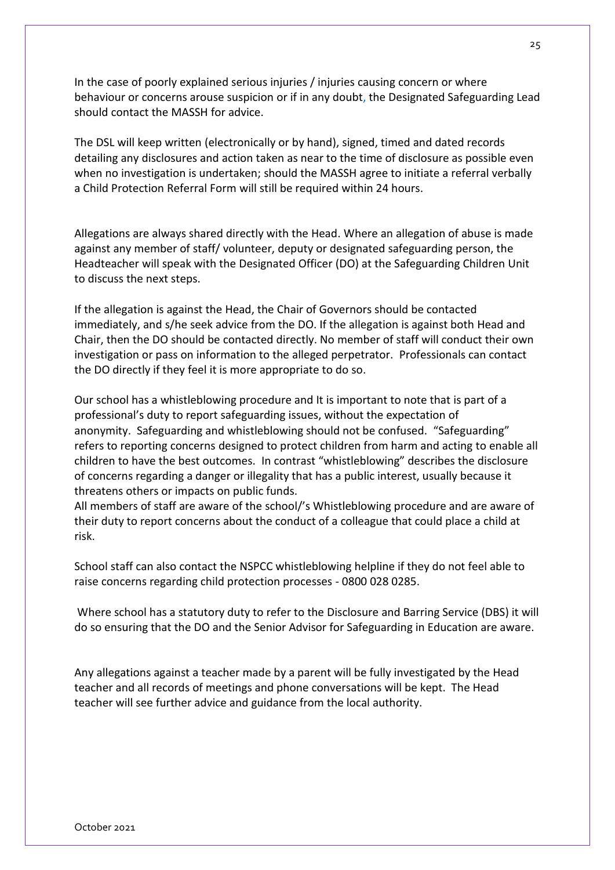In the case of poorly explained serious injuries / injuries causing concern or where behaviour or concerns arouse suspicion or if in any doubt, the Designated Safeguarding Lead should contact the MASSH for advice.

The DSL will keep written (electronically or by hand), signed, timed and dated records detailing any disclosures and action taken as near to the time of disclosure as possible even when no investigation is undertaken; should the MASSH agree to initiate a referral verbally a Child Protection Referral Form will still be required within 24 hours.

Allegations are always shared directly with the Head. Where an allegation of abuse is made against any member of staff/ volunteer, deputy or designated safeguarding person, the Headteacher will speak with the Designated Officer (DO) at the Safeguarding Children Unit to discuss the next steps.

If the allegation is against the Head, the Chair of Governors should be contacted immediately, and s/he seek advice from the DO. If the allegation is against both Head and Chair, then the DO should be contacted directly. No member of staff will conduct their own investigation or pass on information to the alleged perpetrator. Professionals can contact the DO directly if they feel it is more appropriate to do so.

Our school has a whistleblowing procedure and It is important to note that is part of a professional's duty to report safeguarding issues, without the expectation of anonymity. Safeguarding and whistleblowing should not be confused. "Safeguarding" refers to reporting concerns designed to protect children from harm and acting to enable all children to have the best outcomes. In contrast "whistleblowing" describes the disclosure of concerns regarding a danger or illegality that has a public interest, usually because it threatens others or impacts on public funds.

All members of staff are aware of the school/'s Whistleblowing procedure and are aware of their duty to report concerns about the conduct of a colleague that could place a child at risk.

School staff can also contact the NSPCC whistleblowing helpline if they do not feel able to raise concerns regarding child protection processes - 0800 028 0285.

Where school has a statutory duty to refer to the Disclosure and Barring Service (DBS) it will do so ensuring that the DO and the Senior Advisor for Safeguarding in Education are aware.

Any allegations against a teacher made by a parent will be fully investigated by the Head teacher and all records of meetings and phone conversations will be kept. The Head teacher will see further advice and guidance from the local authority.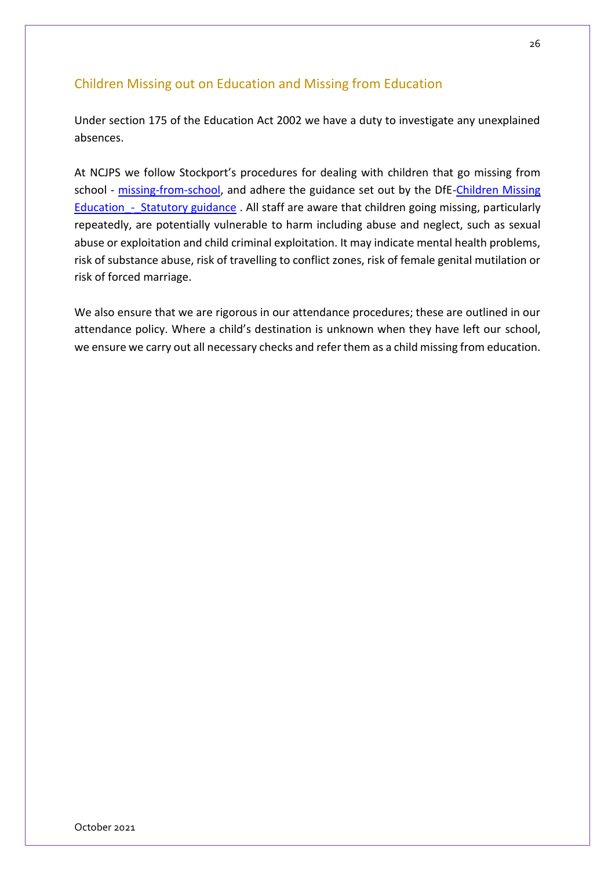# <span id="page-25-0"></span>Children Missing out on Education and Missing from Education

Under section 175 of the Education Act 2002 we have a duty to investigate any unexplained absences.

At NCJPS we follow Stockport's procedures for dealing with children that go missing from school - [missing-from-school,](https://www.stockport.gov.uk/start/missing-from-school-report-form) and adhere the guidance set out by the DfE[-Children Missing](https://assets.publishing.service.gov.uk/government/uploads/system/uploads/attachment_data/file/550416/Children_Missing_Education_-_statutory_guidance.pdf)  Education - Statutory guidance . All staff are aware that children going missing, particularly repeatedly, are potentially vulnerable to harm including abuse and neglect, such as sexual abuse or exploitation and child criminal exploitation. It may indicate mental health problems, risk of substance abuse, risk of travelling to conflict zones, risk of female genital mutilation or risk of forced marriage.

We also ensure that we are rigorous in our attendance procedures; these are outlined in our attendance policy. Where a child's destination is unknown when they have left our school, we ensure we carry out all necessary checks and refer them as a child missing from education.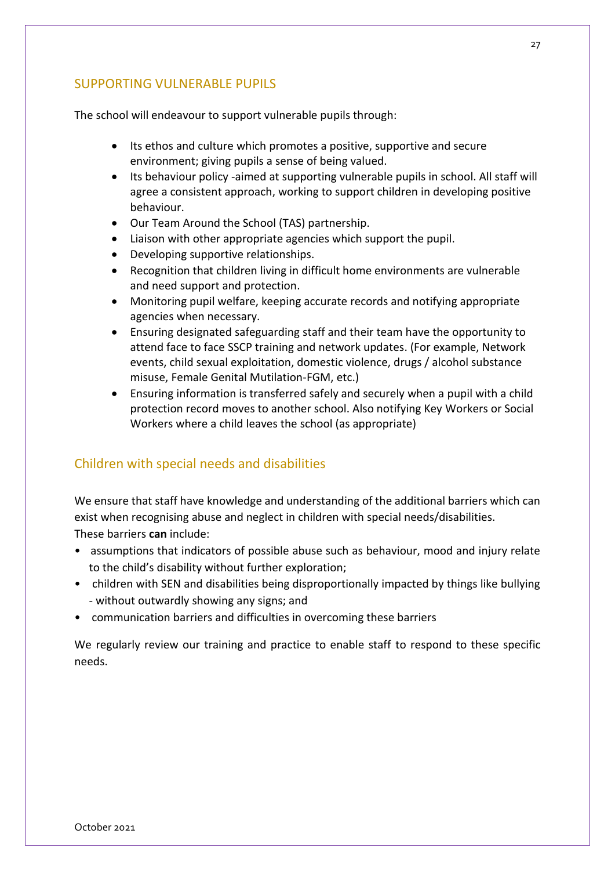### <span id="page-26-0"></span>SUPPORTING VULNERABLE PUPILS

The school will endeavour to support vulnerable pupils through:

- Its ethos and culture which promotes a positive, supportive and secure environment; giving pupils a sense of being valued.
- Its behaviour policy -aimed at supporting vulnerable pupils in school. All staff will agree a consistent approach, working to support children in developing positive behaviour.
- Our Team Around the School (TAS) partnership.
- Liaison with other appropriate agencies which support the pupil.
- Developing supportive relationships.
- Recognition that children living in difficult home environments are vulnerable and need support and protection.
- Monitoring pupil welfare, keeping accurate records and notifying appropriate agencies when necessary.
- Ensuring designated safeguarding staff and their team have the opportunity to attend face to face SSCP training and network updates. (For example, Network events, child sexual exploitation, domestic violence, drugs / alcohol substance misuse, Female Genital Mutilation-FGM, etc.)
- Ensuring information is transferred safely and securely when a pupil with a child protection record moves to another school. Also notifying Key Workers or Social Workers where a child leaves the school (as appropriate)

# <span id="page-26-1"></span>Children with special needs and disabilities

We ensure that staff have knowledge and understanding of the additional barriers which can exist when recognising abuse and neglect in children with special needs/disabilities. These barriers **can** include:

- assumptions that indicators of possible abuse such as behaviour, mood and injury relate to the child's disability without further exploration;
- children with SEN and disabilities being disproportionally impacted by things like bullying - without outwardly showing any signs; and
- communication barriers and difficulties in overcoming these barriers

We regularly review our training and practice to enable staff to respond to these specific needs.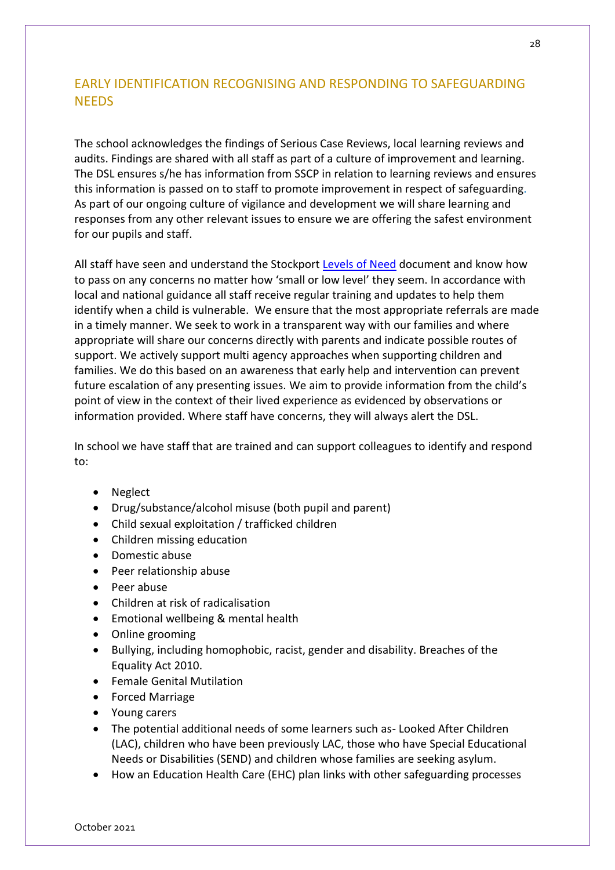# <span id="page-27-0"></span>EARLY IDENTIFICATION RECOGNISING AND RESPONDING TO SAFEGUARDING **NEEDS**

The school acknowledges the findings of Serious Case Reviews, local learning reviews and audits. Findings are shared with all staff as part of a culture of improvement and learning. The DSL ensures s/he has information from SSCP in relation to learning reviews and ensures this information is passed on to staff to promote improvement in respect of safeguarding. As part of our ongoing culture of vigilance and development we will share learning and responses from any other relevant issues to ensure we are offering the safest environment for our pupils and staff.

All staff have seen and understand the Stockport [Levels of Need](http://www.safeguardingchildreninstockport.org.uk/wp-content/uploads/2017/04/Stockport-Multi-Agency-Guidance-on-Levels-of-Need.pdf) document and know how to pass on any concerns no matter how 'small or low level' they seem. In accordance with local and national guidance all staff receive regular training and updates to help them identify when a child is vulnerable. We ensure that the most appropriate referrals are made in a timely manner. We seek to work in a transparent way with our families and where appropriate will share our concerns directly with parents and indicate possible routes of support. We actively support multi agency approaches when supporting children and families. We do this based on an awareness that early help and intervention can prevent future escalation of any presenting issues. We aim to provide information from the child's point of view in the context of their lived experience as evidenced by observations or information provided. Where staff have concerns, they will always alert the DSL.

In school we have staff that are trained and can support colleagues to identify and respond to:

- Neglect
- Drug/substance/alcohol misuse (both pupil and parent)
- Child sexual exploitation / trafficked children
- Children missing education
- Domestic abuse
- Peer relationship abuse
- Peer abuse
- Children at risk of radicalisation
- Emotional wellbeing & mental health
- Online grooming
- Bullying, including homophobic, racist, gender and disability. Breaches of the Equality Act 2010.
- Female Genital Mutilation
- Forced Marriage
- Young carers
- The potential additional needs of some learners such as- Looked After Children (LAC), children who have been previously LAC, those who have Special Educational Needs or Disabilities (SEND) and children whose families are seeking asylum.
- How an Education Health Care (EHC) plan links with other safeguarding processes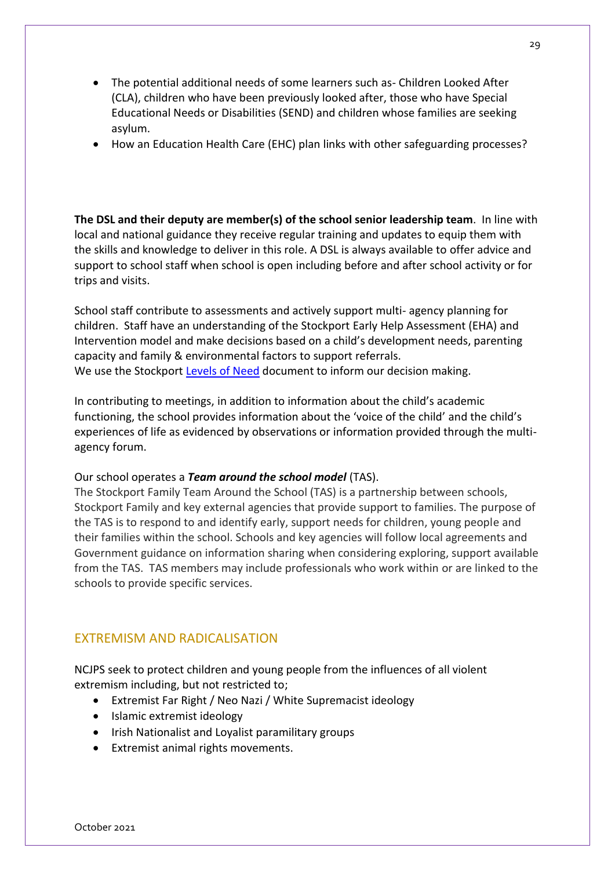- The potential additional needs of some learners such as- Children Looked After (CLA), children who have been previously looked after, those who have Special Educational Needs or Disabilities (SEND) and children whose families are seeking asylum.
- How an Education Health Care (EHC) plan links with other safeguarding processes?

**The DSL and their deputy are member(s) of the school senior leadership team**. In line with local and national guidance they receive regular training and updates to equip them with the skills and knowledge to deliver in this role. A DSL is always available to offer advice and support to school staff when school is open including before and after school activity or for trips and visits.

School staff contribute to assessments and actively support multi- agency planning for children. Staff have an understanding of the Stockport Early Help Assessment (EHA) and Intervention model and make decisions based on a child's development needs, parenting capacity and family & environmental factors to support referrals. We use the Stockport [Levels of Need](http://www.safeguardingchildreninstockport.org.uk/wp-content/uploads/2017/04/Stockport-Multi-Agency-Guidance-on-Levels-of-Need.pdf) document to inform our decision making.

In contributing to meetings, in addition to information about the child's academic functioning, the school provides information about the 'voice of the child' and the child's experiences of life as evidenced by observations or information provided through the multiagency forum.

#### Our school operates a *Team around the school model* (TAS).

The Stockport Family Team Around the School (TAS) is a partnership between schools, Stockport Family and key external agencies that provide support to families. The purpose of the TAS is to respond to and identify early, support needs for children, young people and their families within the school. Schools and key agencies will follow local agreements and Government guidance on information sharing when considering exploring, support available from the TAS. TAS members may include professionals who work within or are linked to the schools to provide specific services.

### <span id="page-28-0"></span>EXTREMISM AND RADICALISATION

NCJPS seek to protect children and young people from the influences of all violent extremism including, but not restricted to;

- Extremist Far Right / Neo Nazi / White Supremacist ideology
- Islamic extremist ideology
- Irish Nationalist and Loyalist paramilitary groups
- Extremist animal rights movements.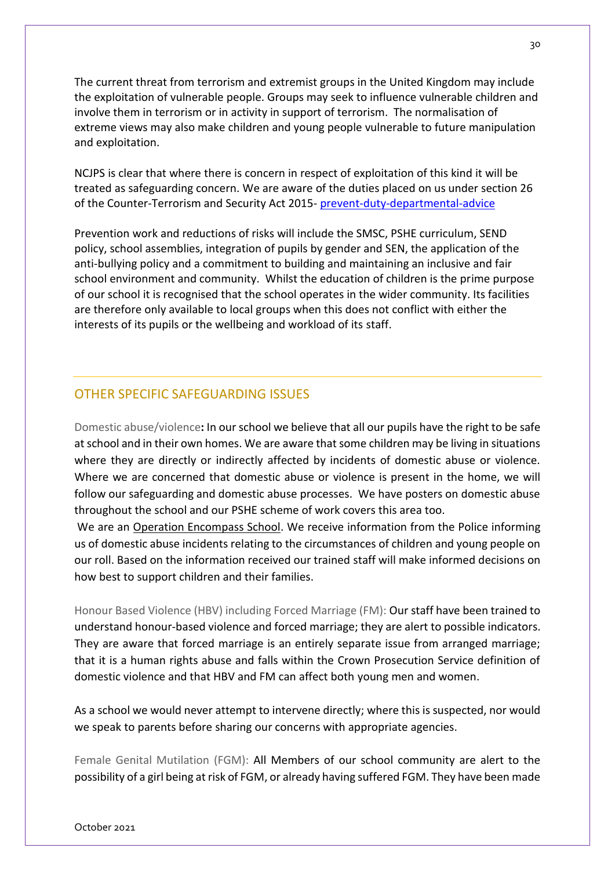The current threat from terrorism and extremist groups in the United Kingdom may include the exploitation of vulnerable people. Groups may seek to influence vulnerable children and involve them in terrorism or in activity in support of terrorism. The normalisation of extreme views may also make children and young people vulnerable to future manipulation and exploitation.

NCJPS is clear that where there is concern in respect of exploitation of this kind it will be treated as safeguarding concern. We are aware of the duties placed on us under section 26 of the Counter-Terrorism and Security Act 2015- [prevent-duty-departmental-advice](https://assets.publishing.service.gov.uk/government/uploads/system/uploads/attachment_data/file/439598/prevent-duty-departmental-advice-v6.pdf)

Prevention work and reductions of risks will include the SMSC, PSHE curriculum, SEND policy, school assemblies, integration of pupils by gender and SEN, the application of the anti-bullying policy and a commitment to building and maintaining an inclusive and fair school environment and community. Whilst the education of children is the prime purpose of our school it is recognised that the school operates in the wider community. Its facilities are therefore only available to local groups when this does not conflict with either the interests of its pupils or the wellbeing and workload of its staff.

### <span id="page-29-0"></span>OTHER SPECIFIC SAFEGUARDING ISSUES

<span id="page-29-1"></span>Domestic abuse/violence**:** In our school we believe that all our pupils have the right to be safe at school and in their own homes. We are aware that some children may be living in situations where they are directly or indirectly affected by incidents of domestic abuse or violence. Where we are concerned that domestic abuse or violence is present in the home, we will follow our safeguarding and domestic abuse processes. We have posters on domestic abuse throughout the school and our PSHE scheme of work covers this area too.

We are an [Operation Encompass School.](https://www.operationencompass.org/) We receive information from the Police informing us of domestic abuse incidents relating to the circumstances of children and young people on our roll. Based on the information received our trained staff will make informed decisions on how best to support children and their families.

Honour Based Violence (HBV) including Forced Marriage (FM): Our staff have been trained to understand honour-based violence and forced marriage; they are alert to possible indicators. They are aware that forced marriage is an entirely separate issue from arranged marriage; that it is a human rights abuse and falls within the Crown Prosecution Service definition of domestic violence and that HBV and FM can affect both young men and women.

As a school we would never attempt to intervene directly; where this is suspected, nor would we speak to parents before sharing our concerns with appropriate agencies.

<span id="page-29-2"></span>Female Genital Mutilation (FGM): All Members of our school community are alert to the possibility of a girl being at risk of FGM, or already having suffered FGM. They have been made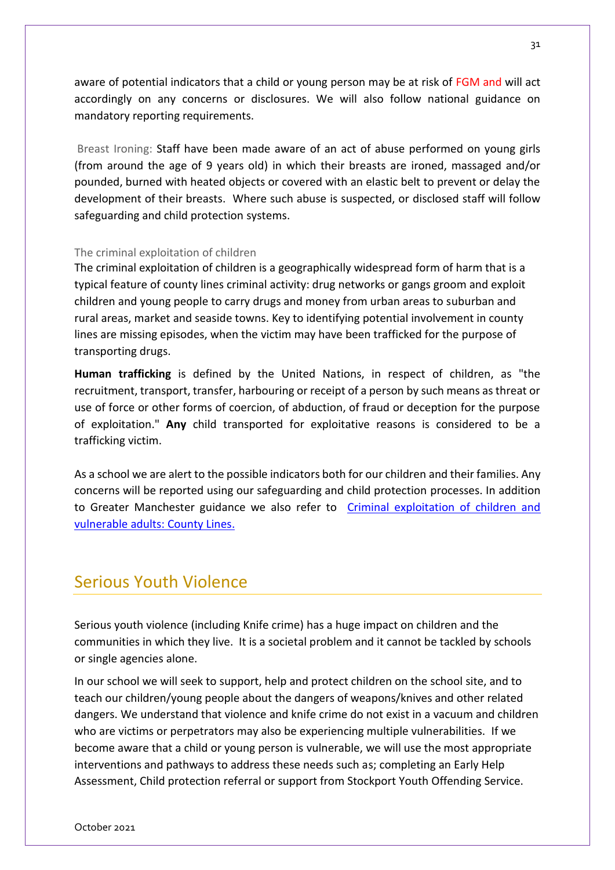aware of potential indicators that a child or young person may be at risk of FGM and will act accordingly on any concerns or disclosures. We will also follow national guidance on mandatory reporting requirements.

<span id="page-30-0"></span>Breast Ironing: Staff have been made aware of an act of abuse performed on young girls (from around the age of 9 years old) in which their breasts are ironed, massaged and/or pounded, burned with heated objects or covered with an elastic belt to prevent or delay the development of their breasts. Where such abuse is suspected, or disclosed staff will follow safeguarding and child protection systems.

### <span id="page-30-1"></span>The criminal exploitation of children

The criminal exploitation of children is a geographically widespread form of harm that is a typical feature of county lines criminal activity: drug networks or gangs groom and exploit children and young people to carry drugs and money from urban areas to suburban and rural areas, market and seaside towns. Key to identifying potential involvement in county lines are missing episodes, when the victim may have been trafficked for the purpose of transporting drugs.

**Human trafficking** is defined by the United Nations, in respect of children, as "the recruitment, transport, transfer, harbouring or receipt of a person by such means as threat or use of force or other forms of coercion, of abduction, of fraud or deception for the purpose of exploitation." **Any** child transported for exploitative reasons is considered to be a trafficking victim.

As a school we are alert to the possible indicators both for our children and their families. Any concerns will be reported using our safeguarding and child protection processes. In addition to Greater Manchester guidance we also refer to [Criminal exploitation of children and](https://www.gov.uk/government/uploads/system/uploads/attachment_data/file/626770/6_3505_HO_Child_exploitation_FINAL_web__2_.pdf)  [vulnerable adults: County Lines.](https://www.gov.uk/government/uploads/system/uploads/attachment_data/file/626770/6_3505_HO_Child_exploitation_FINAL_web__2_.pdf)

# <span id="page-30-2"></span>Serious Youth Violence

Serious youth violence (including Knife crime) has a huge impact on children and the communities in which they live. It is a societal problem and it cannot be tackled by schools or single agencies alone.

In our school we will seek to support, help and protect children on the school site, and to teach our children/young people about the dangers of weapons/knives and other related dangers. We understand that violence and knife crime do not exist in a vacuum and children who are victims or perpetrators may also be experiencing multiple vulnerabilities. If we become aware that a child or young person is vulnerable, we will use the most appropriate interventions and pathways to address these needs such as; completing an Early Help Assessment, Child protection referral or support from Stockport Youth Offending Service.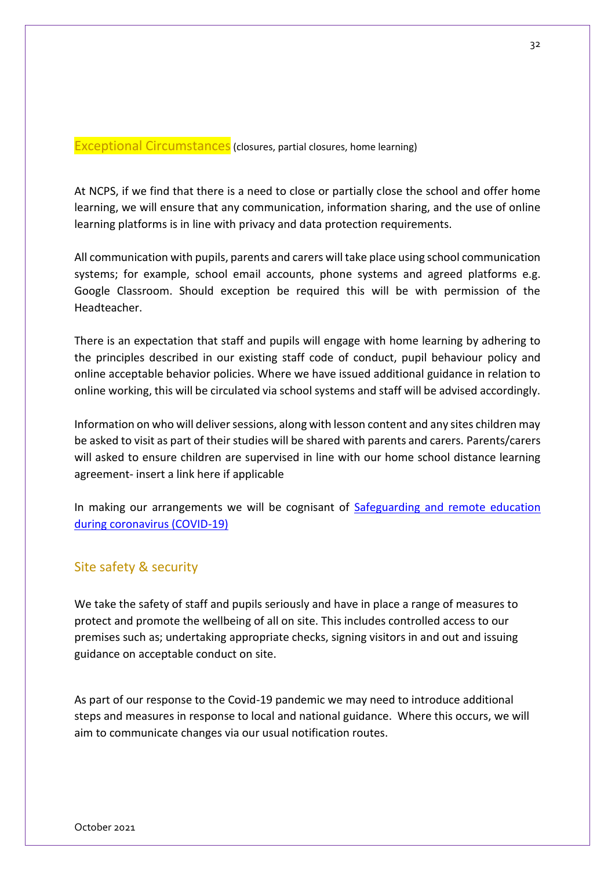### <span id="page-31-0"></span>**Exceptional Circumstances** (closures, partial closures, home learning)

At NCPS, if we find that there is a need to close or partially close the school and offer home learning, we will ensure that any communication, information sharing, and the use of online learning platforms is in line with privacy and data protection requirements.

All communication with pupils, parents and carers will take place using school communication systems; for example, school email accounts, phone systems and agreed platforms e.g. Google Classroom. Should exception be required this will be with permission of the Headteacher.

There is an expectation that staff and pupils will engage with home learning by adhering to the principles described in our existing staff code of conduct, pupil behaviour policy and online acceptable behavior policies. Where we have issued additional guidance in relation to online working, this will be circulated via school systems and staff will be advised accordingly.

Information on who will deliver sessions, along with lesson content and any sites children may be asked to visit as part of their studies will be shared with parents and carers. Parents/carers will asked to ensure children are supervised in line with our home school distance learning agreement- insert a link here if applicable

In making our arrangements we will be cognisant of [Safeguarding and remote education](https://www.gov.uk/guidance/safeguarding-and-remote-education-during-coronavirus-covid-19)  [during coronavirus \(COVID-19\)](https://www.gov.uk/guidance/safeguarding-and-remote-education-during-coronavirus-covid-19)

# <span id="page-31-1"></span>Site safety & security

We take the safety of staff and pupils seriously and have in place a range of measures to protect and promote the wellbeing of all on site. This includes controlled access to our premises such as; undertaking appropriate checks, signing visitors in and out and issuing guidance on acceptable conduct on site.

As part of our response to the Covid-19 pandemic we may need to introduce additional steps and measures in response to local and national guidance. Where this occurs, we will aim to communicate changes via our usual notification routes.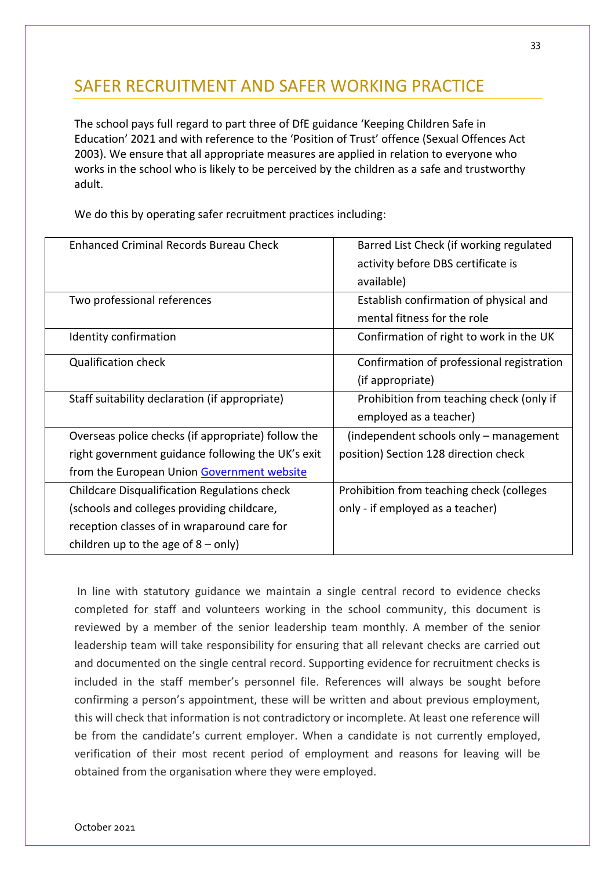# <span id="page-32-0"></span>SAFER RECRUITMENT AND SAFER WORKING PRACTICE

The school pays full regard to part three of DfE guidance 'Keeping Children Safe in Education' 2021 and with reference to the 'Position of Trust' offence (Sexual Offences Act 2003). We ensure that all appropriate measures are applied in relation to everyone who works in the school who is likely to be perceived by the children as a safe and trustworthy adult.

We do this by operating safer recruitment practices including:

| <b>Enhanced Criminal Records Bureau Check</b>       | Barred List Check (if working regulated   |
|-----------------------------------------------------|-------------------------------------------|
|                                                     | activity before DBS certificate is        |
|                                                     | available)                                |
| Two professional references                         | Establish confirmation of physical and    |
|                                                     | mental fitness for the role               |
| Identity confirmation                               | Confirmation of right to work in the UK   |
| <b>Qualification check</b>                          | Confirmation of professional registration |
|                                                     | (if appropriate)                          |
| Staff suitability declaration (if appropriate)      | Prohibition from teaching check (only if  |
|                                                     | employed as a teacher)                    |
| Overseas police checks (if appropriate) follow the  | (independent schools only – management    |
| right government guidance following the UK's exit   | position) Section 128 direction check     |
| from the European Union Government website          |                                           |
| <b>Childcare Disqualification Regulations check</b> | Prohibition from teaching check (colleges |
| (schools and colleges providing childcare,          | only - if employed as a teacher)          |
| reception classes of in wraparound care for         |                                           |
| children up to the age of $8 - only$ )              |                                           |

In line with statutory guidance we maintain a single central record to evidence checks completed for staff and volunteers working in the school community, this document is reviewed by a member of the senior leadership team monthly. A member of the senior leadership team will take responsibility for ensuring that all relevant checks are carried out and documented on the single central record. Supporting evidence for recruitment checks is included in the staff member's personnel file. References will always be sought before confirming a person's appointment, these will be written and about previous employment, this will check that information is not contradictory or incomplete. At least one reference will be from the candidate's current employer. When a candidate is not currently employed, verification of their most recent period of employment and reasons for leaving will be obtained from the organisation where they were employed.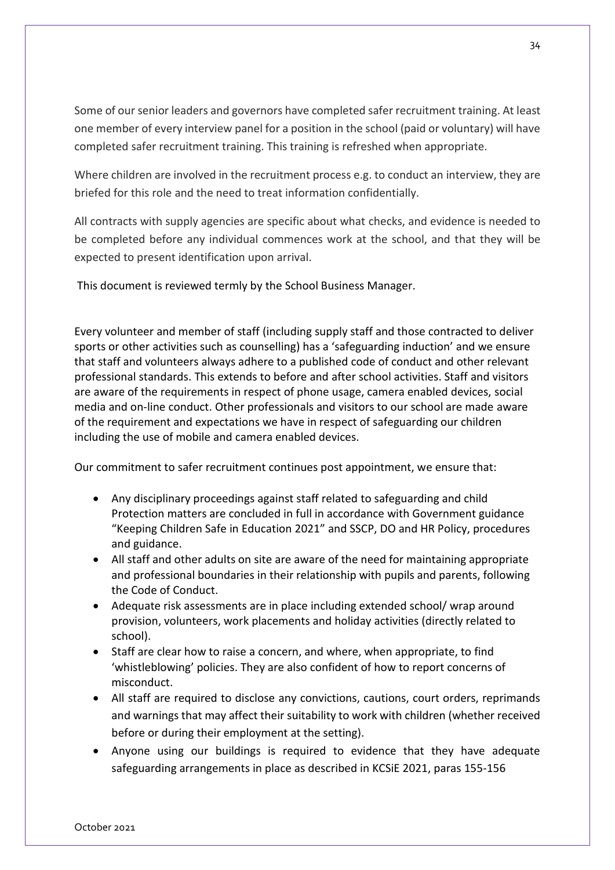Some of our senior leaders and governors have completed safer recruitment training. At least one member of every interview panel for a position in the school (paid or voluntary) will have completed safer recruitment training. This training is refreshed when appropriate.

Where children are involved in the recruitment process e.g. to conduct an interview, they are briefed for this role and the need to treat information confidentially.

All contracts with supply agencies are specific about what checks, and evidence is needed to be completed before any individual commences work at the school, and that they will be expected to present identification upon arrival.

This document is reviewed termly by the School Business Manager.

Every volunteer and member of staff (including supply staff and those contracted to deliver sports or other activities such as counselling) has a 'safeguarding induction' and we ensure that staff and volunteers always adhere to a published code of conduct and other relevant professional standards. This extends to before and after school activities. Staff and visitors are aware of the requirements in respect of phone usage, camera enabled devices, social media and on-line conduct. Other professionals and visitors to our school are made aware of the requirement and expectations we have in respect of safeguarding our children including the use of mobile and camera enabled devices.

Our commitment to safer recruitment continues post appointment, we ensure that:

- Any disciplinary proceedings against staff related to safeguarding and child Protection matters are concluded in full in accordance with Government guidance "Keeping Children Safe in Education 2021" and SSCP, DO and HR Policy, procedures and guidance.
- All staff and other adults on site are aware of the need for maintaining appropriate and professional boundaries in their relationship with pupils and parents, following the Code of Conduct.
- Adequate risk assessments are in place including extended school/ wrap around provision, volunteers, work placements and holiday activities (directly related to school).
- Staff are clear how to raise a concern, and where, when appropriate, to find 'whistleblowing' policies. They are also confident of how to report concerns of misconduct.
- All staff are required to disclose any convictions, cautions, court orders, reprimands and warnings that may affect their suitability to work with children (whether received before or during their employment at the setting).
- Anyone using our buildings is required to evidence that they have adequate safeguarding arrangements in place as described in KCSiE 2021, paras 155-156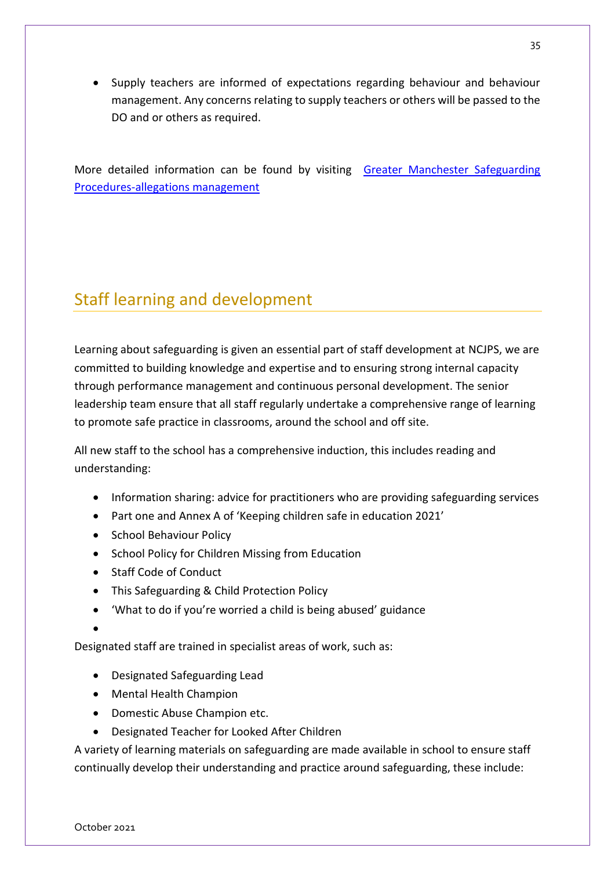• Supply teachers are informed of expectations regarding behaviour and behaviour management. Any concerns relating to supply teachers or others will be passed to the DO and or others as required.

More detailed information can be found by visiting [Greater Manchester Safeguarding](https://greatermanchesterscb.proceduresonline.com/chapters/p_man_allegations.html)  [Procedures-allegations management](https://greatermanchesterscb.proceduresonline.com/chapters/p_man_allegations.html)

# <span id="page-34-0"></span>Staff learning and development

Learning about safeguarding is given an essential part of staff development at NCJPS, we are committed to building knowledge and expertise and to ensuring strong internal capacity through performance management and continuous personal development. The senior leadership team ensure that all staff regularly undertake a comprehensive range of learning to promote safe practice in classrooms, around the school and off site.

All new staff to the school has a comprehensive induction, this includes reading and understanding:

- Information sharing: advice for practitioners who are providing safeguarding services
- Part one and Annex A of 'Keeping children safe in education 2021'
- School Behaviour Policy
- School Policy for Children Missing from Education
- Staff Code of Conduct
- This Safeguarding & Child Protection Policy
- 'What to do if you're worried a child is being abused' guidance

•

Designated staff are trained in specialist areas of work, such as:

- Designated Safeguarding Lead
- Mental Health Champion
- Domestic Abuse Champion etc.
- Designated Teacher for Looked After Children

A variety of learning materials on safeguarding are made available in school to ensure staff continually develop their understanding and practice around safeguarding, these include: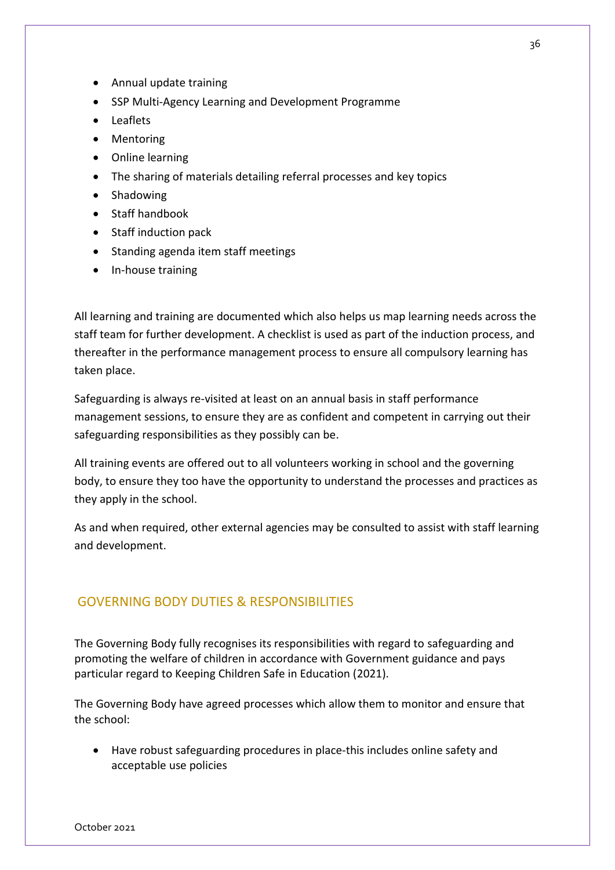- Annual update training
- SSP Multi-Agency Learning and Development Programme
- Leaflets
- Mentoring
- Online learning
- The sharing of materials detailing referral processes and key topics
- Shadowing
- Staff handbook
- Staff induction pack
- Standing agenda item staff meetings
- In-house training

All learning and training are documented which also helps us map learning needs across the staff team for further development. A checklist is used as part of the induction process, and thereafter in the performance management process to ensure all compulsory learning has taken place.

Safeguarding is always re-visited at least on an annual basis in staff performance management sessions, to ensure they are as confident and competent in carrying out their safeguarding responsibilities as they possibly can be.

All training events are offered out to all volunteers working in school and the governing body, to ensure they too have the opportunity to understand the processes and practices as they apply in the school.

As and when required, other external agencies may be consulted to assist with staff learning and development.

# <span id="page-35-0"></span>GOVERNING BODY DUTIES & RESPONSIBILITIES

The Governing Body fully recognises its responsibilities with regard to safeguarding and promoting the welfare of children in accordance with Government guidance and pays particular regard to Keeping Children Safe in Education (2021).

The Governing Body have agreed processes which allow them to monitor and ensure that the school:

• Have robust safeguarding procedures in place-this includes online safety and acceptable use policies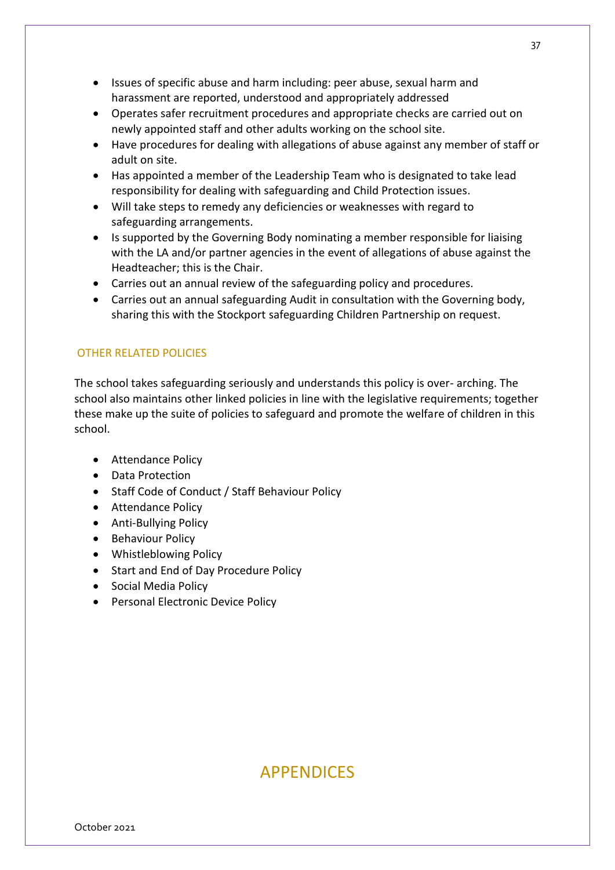- Issues of specific abuse and harm including: peer abuse, sexual harm and harassment are reported, understood and appropriately addressed
- Operates safer recruitment procedures and appropriate checks are carried out on newly appointed staff and other adults working on the school site.
- Have procedures for dealing with allegations of abuse against any member of staff or adult on site.
- Has appointed a member of the Leadership Team who is designated to take lead responsibility for dealing with safeguarding and Child Protection issues.
- Will take steps to remedy any deficiencies or weaknesses with regard to safeguarding arrangements.
- Is supported by the Governing Body nominating a member responsible for liaising with the LA and/or partner agencies in the event of allegations of abuse against the Headteacher; this is the Chair.
- Carries out an annual review of the safeguarding policy and procedures.
- Carries out an annual safeguarding Audit in consultation with the Governing body, sharing this with the Stockport safeguarding Children Partnership on request.

### <span id="page-36-0"></span>OTHER RELATED POLICIES

The school takes safeguarding seriously and understands this policy is over- arching. The school also maintains other linked policies in line with the legislative requirements; together these make up the suite of policies to safeguard and promote the welfare of children in this school.

- <span id="page-36-1"></span>• Attendance Policy
- Data Protection
- Staff Code of Conduct / Staff Behaviour Policy
- Attendance Policy
- Anti-Bullying Policy
- Behaviour Policy
- Whistleblowing Policy
- Start and End of Day Procedure Policy
- Social Media Policy
- Personal Electronic Device Policy

# APPENDICES

October 2021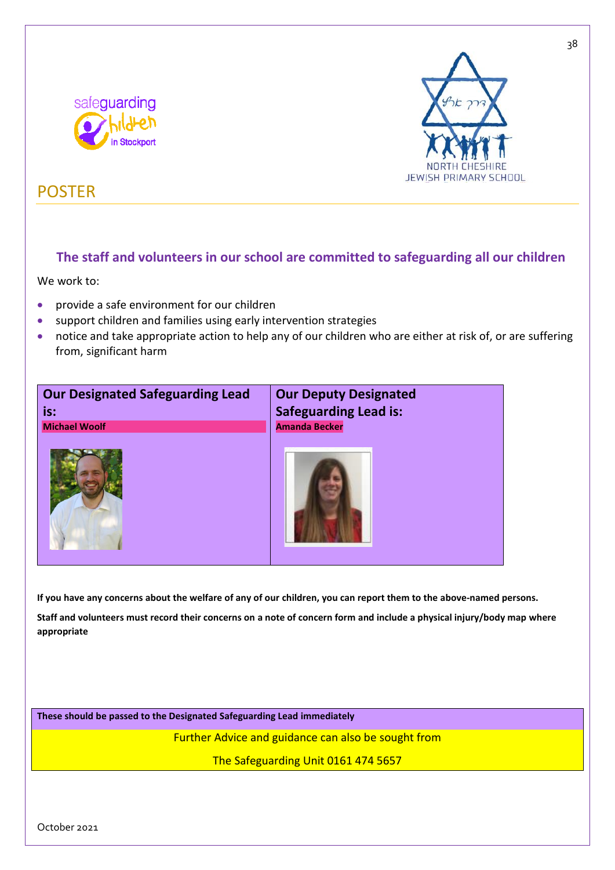



# <span id="page-37-0"></span>POSTER

# **The staff and volunteers in our school are committed to safeguarding all our children**

We work to:

- provide a safe environment for our children
- support children and families using early intervention strategies
- notice and take appropriate action to help any of our children who are either at risk of, or are suffering from, significant harm



**If you have any concerns about the welfare of any of our children, you can report them to the above-named persons.**

**Staff and volunteers must record their concerns on a note of concern form and include a physical injury/body map where appropriate**

**These should be passed to the Designated Safeguarding Lead immediately**

Further Advice and guidance can also be sought from

The Safeguarding Unit 0161 474 5657

October 2021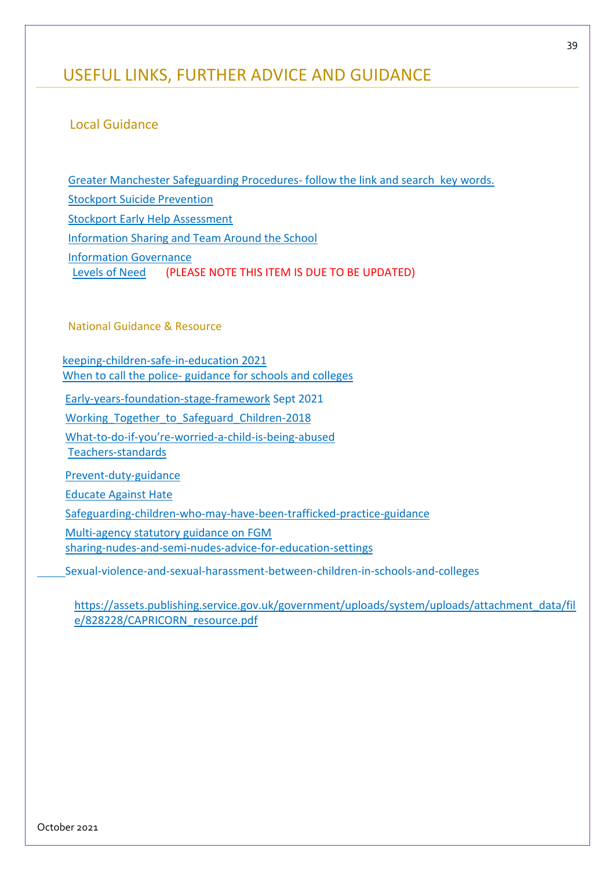# <span id="page-38-0"></span>USEFUL LINKS, FURTHER ADVICE AND GUIDANCE

### <span id="page-38-1"></span>Local Guidance

<span id="page-38-6"></span><span id="page-38-5"></span><span id="page-38-4"></span><span id="page-38-3"></span><span id="page-38-2"></span> [Greater Manchester Safeguarding Procedures-](http://greatermanchesterscb.proceduresonline.com/) follow the link and search key words. [Stockport Suicide Prevention](http://www.stockportsuicideprevention.org.uk/) [Stockport Early Help Assessment](https://www.stockport.gov.uk/early-help-assessment) [Information Sharing and Team Around the School](http://old.stockport.gov.uk/twopageguides/infosharing1) [Information Governance](http://old.stockport.gov.uk/twopageguides/ig) [Levels of Need](http://www.safeguardingchildreninstockport.org.uk/wp-content/uploads/2017/04/Stockport-Multi-Agency-Guidance-on-Levels-of-Need.pdf) (PLEASE NOTE THIS ITEM IS DUE TO BE UPDATED)

<span id="page-38-7"></span>National Guidance & Resource

<span id="page-38-8"></span> [keeping-children-safe-in-education 2021](https://www.gov.uk/government/publications/keeping-children-safe-in-education--2) When to call the police- [guidance for schools and colleges](https://www.npcc.police.uk/documents/Children%20and%20Young%20people/When%20to%20call%20the%20police%20guidance%20for%20schools%20and%20colleges.pdf)

<span id="page-38-9"></span>[Early-years-foundation-stage-framework](https://www.gov.uk/government/publications/early-years-foundation-stage-framework--2) Sept 2021

<span id="page-38-10"></span>Working Together to Safeguard Children-2018

<span id="page-38-11"></span>What-to-do-if-you're[-worried-a-child-is-being-abused](https://www.gov.uk/government/publications/what-to-do-if-youre-worried-a-child-is-being-abused--2)

[Teachers-standards](https://www.gov.uk/government/publications/teachers-standards) 

<span id="page-38-12"></span>[Prevent-duty-guidance](https://www.gov.uk/government/publications/prevent-duty-guidance)

<span id="page-38-13"></span>[Educate Against Hate](http://educateagainsthate.com/)

<span id="page-38-14"></span>[Safeguarding-children-who-may-have-been-trafficked-practice-guidance](https://www.gov.uk/government/publications/safeguarding-children-who-may-have-been-trafficked-practice-guidance)

<span id="page-38-15"></span>Multi-agency [statutory](https://www.gov.uk/government/publications/multi-agency-statutory-guidance-on-female-genital-mutilation) guidance on FGM

[sharing-nudes-and-semi-nudes-advice-for-education-settings](https://www.gov.uk/government/publications/sharing-nudes-and-semi-nudes-advice-for-education-settings-working-with-children-and-young-people/sharing-nudes-and-semi-nudes-how-to-respond-to-an-incident-overview)

<span id="page-38-16"></span>[Sexual-violence-and-sexual-harassment-between-children-in-schools-and-colleges](https://www.gov.uk/government/publications/sexual-violence-and-sexual-harassment-between-children-in-schools-and-colleges)

<span id="page-38-17"></span>[https://assets.publishing.service.gov.uk/government/uploads/system/uploads/attachment\\_data/fil](https://assets.publishing.service.gov.uk/government/uploads/system/uploads/attachment_data/file/828228/CAPRICORN_resource.pdf) [e/828228/CAPRICORN\\_resource.pdf](https://assets.publishing.service.gov.uk/government/uploads/system/uploads/attachment_data/file/828228/CAPRICORN_resource.pdf)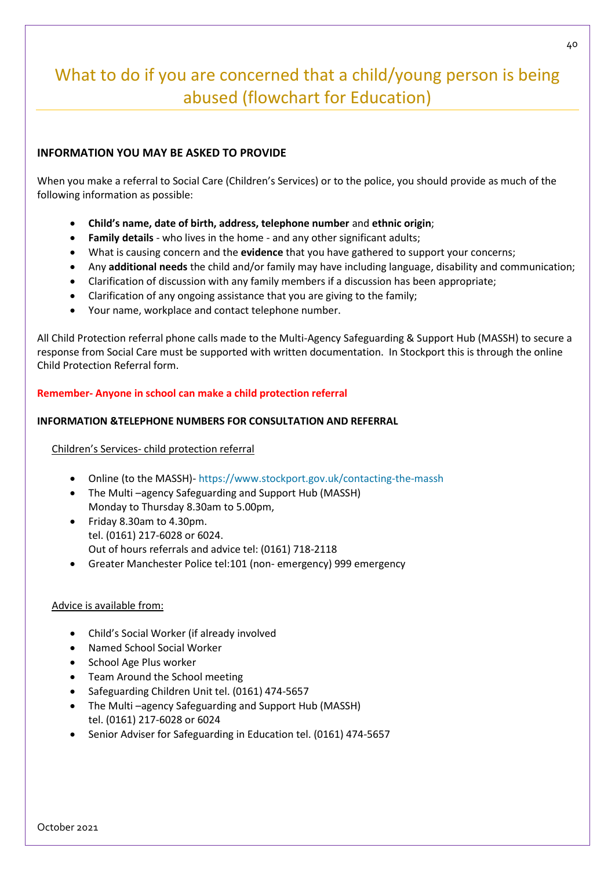# <span id="page-39-0"></span>What to do if you are concerned that a child/young person is being abused (flowchart for Education)

### <span id="page-39-1"></span>**INFORMATION YOU MAY BE ASKED TO PROVIDE**

When you make a referral to Social Care (Children's Services) or to the police, you should provide as much of the following information as possible:

- **Child's name, date of birth, address, telephone number** and **ethnic origin**;
- **Family details**  who lives in the home and any other significant adults;
- What is causing concern and the **evidence** that you have gathered to support your concerns;
- Any **additional needs** the child and/or family may have including language, disability and communication;
- Clarification of discussion with any family members if a discussion has been appropriate;
- Clarification of any ongoing assistance that you are giving to the family;
- Your name, workplace and contact telephone number.

All Child Protection referral phone calls made to the Multi-Agency Safeguarding & Support Hub (MASSH) to secure a response from Social Care must be supported with written documentation. In Stockport this is through the online Child Protection Referral form.

#### **Remember- Anyone in school can make a child protection referral**

#### <span id="page-39-2"></span>**INFORMATION &TELEPHONE NUMBERS FOR CONSULTATION AND REFERRAL**

<span id="page-39-3"></span>Children's Services- child protection referral

- Online (to the MASSH)- <https://www.stockport.gov.uk/contacting-the-massh>
- The Multi –agency Safeguarding and Support Hub (MASSH) Monday to Thursday 8.30am to 5.00pm,
- Friday 8.30am to 4.30pm. tel. (0161) 217-6028 or 6024. Out of hours referrals and advice tel: (0161) 718-2118
- Greater Manchester Police tel:101 (non- emergency) 999 emergency

#### <span id="page-39-4"></span>Advice is available from:

- Child's Social Worker (if already involved
- Named School Social Worker
- School Age Plus worker
- Team Around the School meeting
- Safeguarding Children Unit tel. (0161) 474-5657
- The Multi –agency Safeguarding and Support Hub (MASSH) tel. (0161) 217-6028 or 6024
- Senior Adviser for Safeguarding in Education tel. (0161) 474-5657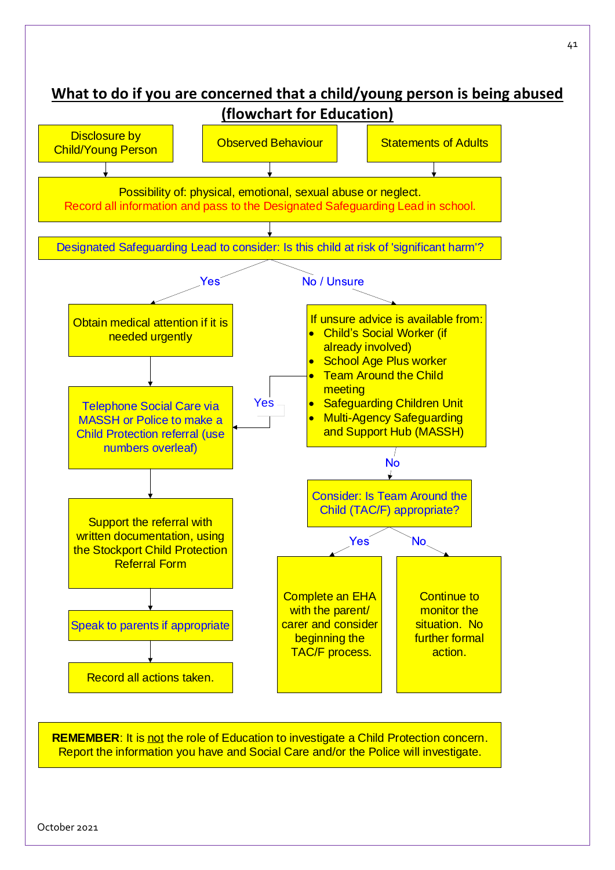

**REMEMBER:** It is not the role of Education to investigate a Child Protection concern. Report the information you have and Social Care and/or the Police will investigate.

October 2021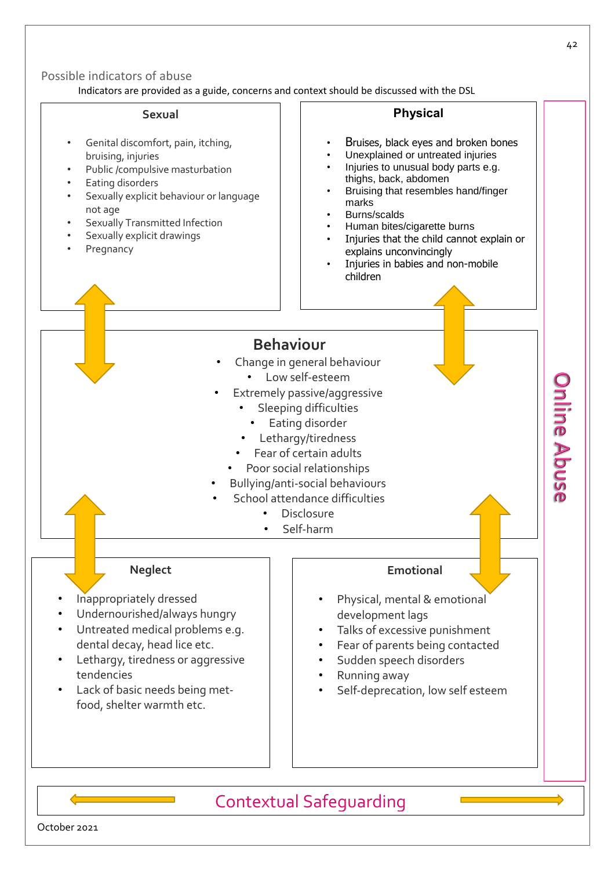### <span id="page-41-0"></span>Possible indicators of abuse

Indicators are provided as a guide, concerns and context should be discussed with the DSL



# Contextual Safeguarding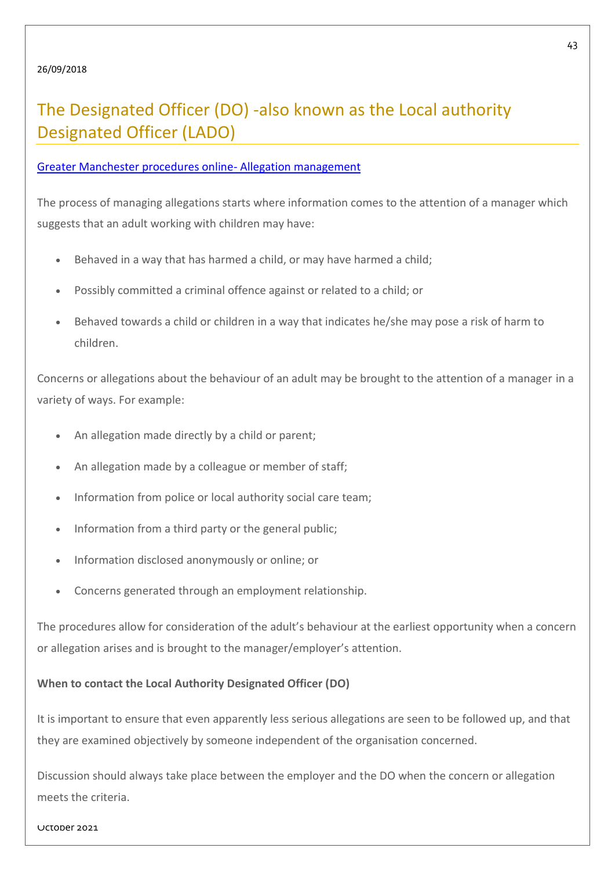# <span id="page-42-0"></span>The Designated Officer (DO) -also known as the Local authority Designated Officer (LADO)

### [Greater Manchester procedures online-](http://greatermanchesterscb.proceduresonline.com/chapters/p_man_allegations.html?zoom_highlight=LADO) Allegation management

The process of managing allegations starts where information comes to the attention of a manager which suggests that an adult working with children may have:

- Behaved in a way that has harmed a child, or may have harmed a child;
- Possibly committed a criminal offence against or related to a child; or
- Behaved towards a child or children in a way that indicates he/she may pose a risk of harm to children.

Concerns or allegations about the behaviour of an adult may be brought to the attention of a manager in a variety of ways. For example:

- An allegation made directly by a child or parent;
- An allegation made by a colleague or member of staff;
- Information from police or local authority social care team;
- Information from a third party or the general public;
- Information disclosed anonymously or online; or
- Concerns generated through an employment relationship.

The procedures allow for consideration of the adult's behaviour at the earliest opportunity when a concern or allegation arises and is brought to the manager/employer's attention.

### **When to contact the Local Authority Designated Officer (DO)**

It is important to ensure that even apparently less serious allegations are seen to be followed up, and that they are examined objectively by someone independent of the organisation concerned.

Discussion should always take place between the employer and the DO when the concern or allegation meets the criteria.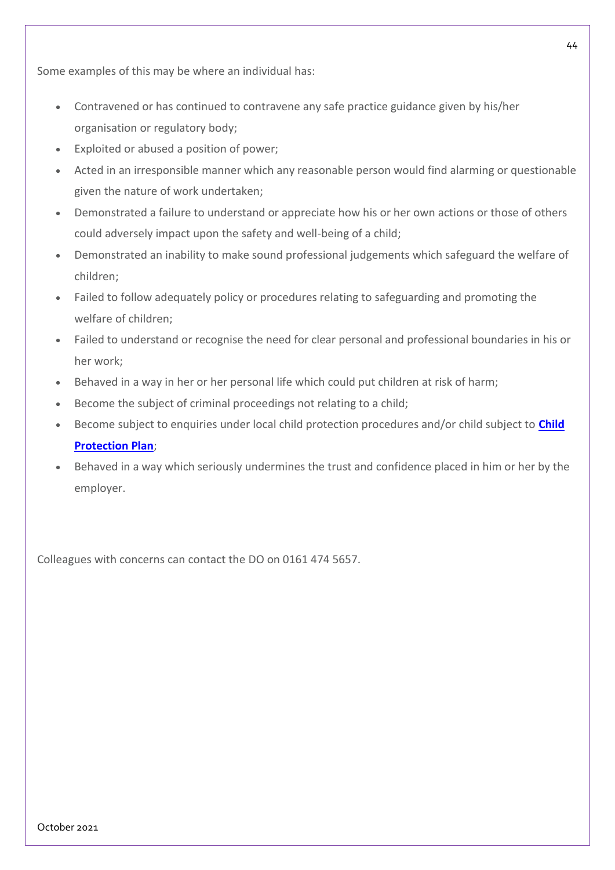Some examples of this may be where an individual has:

- Contravened or has continued to contravene any safe practice guidance given by his/her organisation or regulatory body;
- Exploited or abused a position of power;
- Acted in an irresponsible manner which any reasonable person would find alarming or questionable given the nature of work undertaken;
- Demonstrated a failure to understand or appreciate how his or her own actions or those of others could adversely impact upon the safety and well-being of a child;
- Demonstrated an inability to make sound professional judgements which safeguard the welfare of children;
- Failed to follow adequately policy or procedures relating to safeguarding and promoting the welfare of children;
- Failed to understand or recognise the need for clear personal and professional boundaries in his or her work;
- Behaved in a way in her or her personal life which could put children at risk of harm;
- Become the subject of criminal proceedings not relating to a child;
- Become subject to enquiries under local child protection procedures and/or child subject to **[Child](http://trixresources.proceduresonline.com/nat_key/keywords/child_protection_plan.html)  [Protection Plan](http://trixresources.proceduresonline.com/nat_key/keywords/child_protection_plan.html)**;
- Behaved in a way which seriously undermines the trust and confidence placed in him or her by the employer.

Colleagues with concerns can contact the DO on 0161 474 5657.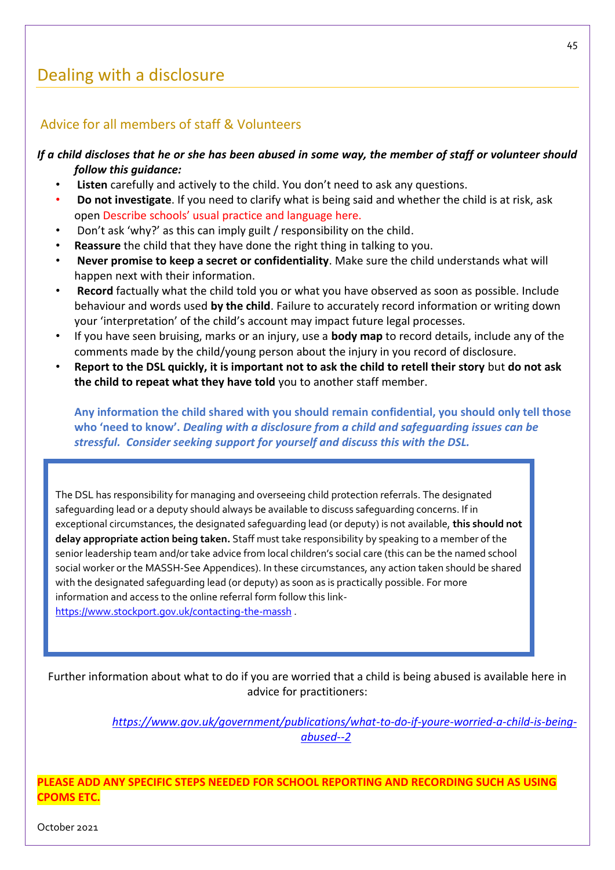# <span id="page-44-0"></span>Dealing with a disclosure

# <span id="page-44-1"></span>Advice for all members of staff & Volunteers

### *If a child discloses that he or she has been abused in some way, the member of staff or volunteer should follow this guidance:*

- **Listen** carefully and actively to the child. You don't need to ask any questions.
- **Do not investigate**. If you need to clarify what is being said and whether the child is at risk, ask open Describe schools' usual practice and language here.
- Don't ask 'why?' as this can imply guilt / responsibility on the child.
- **Reassure** the child that they have done the right thing in talking to you.
- **Never promise to keep a secret or confidentiality**. Make sure the child understands what will happen next with their information.
- **Record** factually what the child told you or what you have observed as soon as possible. Include behaviour and words used **by the child**. Failure to accurately record information or writing down your 'interpretation' of the child's account may impact future legal processes.
- If you have seen bruising, marks or an injury, use a **body map** to record details, include any of the comments made by the child/young person about the injury in you record of disclosure.
- **Report to the DSL quickly, it is important not to ask the child to retell their story** but **do not ask the child to repeat what they have told** you to another staff member.

**Any information the child shared with you should remain confidential, you should only tell those who 'need to know'.** *Dealing with a disclosure from a child and safeguarding issues can be stressful. Consider seeking support for yourself and discuss this with the DSL.*

The DSL has responsibility for managing and overseeing child protection referrals. The designated safeguarding lead or a deputy should always be available to discuss safeguarding concerns. If in exceptional circumstances, the designated safeguarding lead (or deputy) is not available, **this should not delay appropriate action being taken.** Staff must take responsibility by speaking to a member of the senior leadership team and/or take advice from local children's social care (this can be the named school social worker or the MASSH-See Appendices). In these circumstances, any action taken should be shared with the designated safeguarding lead (or deputy) as soon as is practically possible. For more information and access to the online referral form follow this link<https://www.stockport.gov.uk/contacting-the-massh> .

Further information about what to do if you are worried that a child is being abused is available here in advice for practitioners:

> *[https://www.gov.uk/government/publications/what-to-do-if-youre-worried-a-child-is-being](https://www.gov.uk/government/publications/what-to-do-if-youre-worried-a-child-is-being-abused--2)[abused--2](https://www.gov.uk/government/publications/what-to-do-if-youre-worried-a-child-is-being-abused--2)*

**PLEASE ADD ANY SPECIFIC STEPS NEEDED FOR SCHOOL REPORTING AND RECORDING SUCH AS USING CPOMS ETC.**

October 2021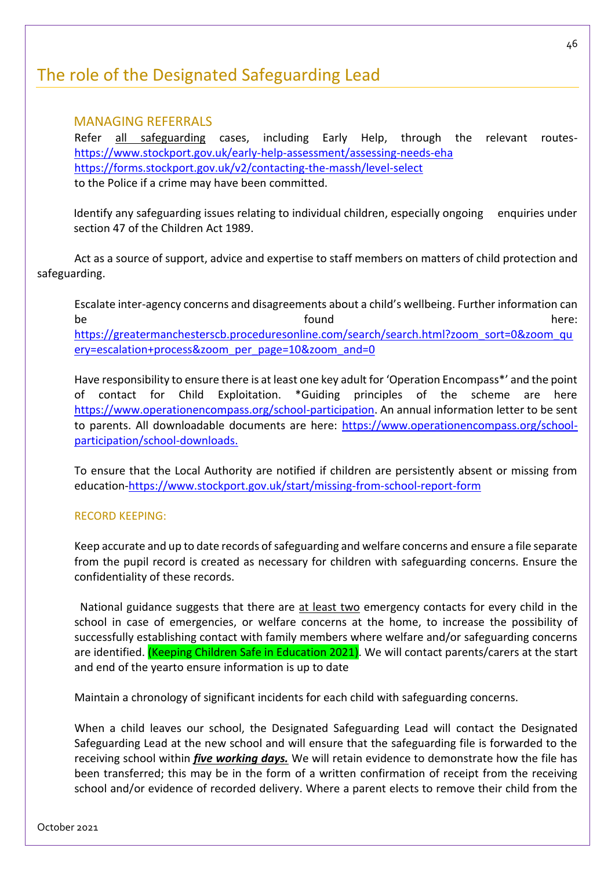# <span id="page-45-0"></span>The role of the Designated Safeguarding Lead

### <span id="page-45-1"></span>MANAGING REFERRALS

Refer all safeguarding cases, including Early Help, through the relevant routes<https://www.stockport.gov.uk/early-help-assessment/assessing-needs-eha> <https://forms.stockport.gov.uk/v2/contacting-the-massh/level-select> to the Police if a crime may have been committed.

Identify any safeguarding issues relating to individual children, especially ongoing enquiries under section 47 of the Children Act 1989.

Act as a source of support, advice and expertise to staff members on matters of child protection and safeguarding.

Escalate inter-agency concerns and disagreements about a child's wellbeing. Further information can be **found** here: [https://greatermanchesterscb.proceduresonline.com/search/search.html?zoom\\_sort=0&zoom\\_qu](https://greatermanchesterscb.proceduresonline.com/search/search.html?zoom_sort=0&zoom_query=escalation+process&zoom_per_page=10&zoom_and=0) [ery=escalation+process&zoom\\_per\\_page=10&zoom\\_and=0](https://greatermanchesterscb.proceduresonline.com/search/search.html?zoom_sort=0&zoom_query=escalation+process&zoom_per_page=10&zoom_and=0)

Have responsibility to ensure there is at least one key adult for 'Operation Encompass\*' and the point of contact for Child Exploitation. \*Guiding principles of the scheme are here [https://www.operationencompass.org/school-participation.](https://www.operationencompass.org/school-participation) An annual information letter to be sent to parents. All downloadable documents are here: [https://www.operationencompass.org/school](https://www.operationencompass.org/school-participation/school-downloads)[participation/school-downloads.](https://www.operationencompass.org/school-participation/school-downloads)

To ensure that the Local Authority are notified if children are persistently absent or missing from education[-https://www.stockport.gov.uk/start/missing-from-school-report-form](https://www.stockport.gov.uk/start/missing-from-school-report-form)

#### <span id="page-45-2"></span>RECORD KEEPING:

Keep accurate and up to date records of safeguarding and welfare concerns and ensure a file separate from the pupil record is created as necessary for children with safeguarding concerns. Ensure the confidentiality of these records.

National guidance suggests that there are at least two emergency contacts for every child in the school in case of emergencies, or welfare concerns at the home, to increase the possibility of successfully establishing contact with family members where welfare and/or safeguarding concerns are identified. (Keeping Children Safe in Education 2021). We will contact parents/carers at the start and end of the yearto ensure information is up to date

Maintain a chronology of significant incidents for each child with safeguarding concerns.

When a child leaves our school, the Designated Safeguarding Lead will contact the Designated Safeguarding Lead at the new school and will ensure that the safeguarding file is forwarded to the receiving school within *five working days.* We will retain evidence to demonstrate how the file has been transferred; this may be in the form of a written confirmation of receipt from the receiving school and/or evidence of recorded delivery. Where a parent elects to remove their child from the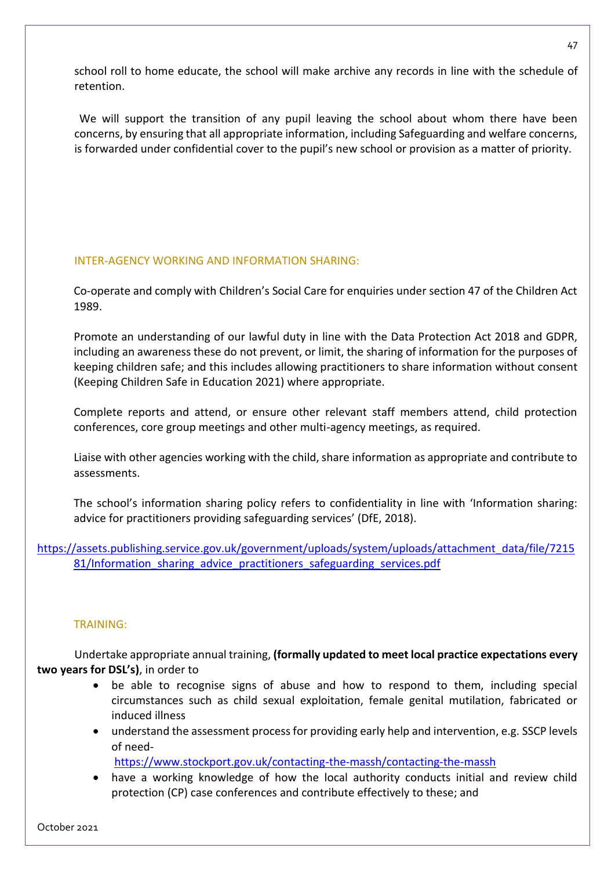school roll to home educate, the school will make archive any records in line with the schedule of retention.

 We will support the transition of any pupil leaving the school about whom there have been concerns, by ensuring that all appropriate information, including Safeguarding and welfare concerns, is forwarded under confidential cover to the pupil's new school or provision as a matter of priority.

### <span id="page-46-0"></span>INTER-AGENCY WORKING AND INFORMATION SHARING:

Co-operate and comply with Children's Social Care for enquiries under section 47 of the Children Act 1989.

Promote an understanding of our lawful duty in line with the Data Protection Act 2018 and GDPR, including an awareness these do not prevent, or limit, the sharing of information for the purposes of keeping children safe; and this includes allowing practitioners to share information without consent (Keeping Children Safe in Education 2021) where appropriate.

Complete reports and attend, or ensure other relevant staff members attend, child protection conferences, core group meetings and other multi-agency meetings, as required.

Liaise with other agencies working with the child, share information as appropriate and contribute to assessments.

The school's information sharing policy refers to confidentiality in line with 'Information sharing: advice for practitioners providing safeguarding services' (DfE, 2018).

### <span id="page-46-1"></span>TRAINING:

Undertake appropriate annual training, **(formally updated to meet local practice expectations every two years for DSL's)**, in order to

- be able to recognise signs of abuse and how to respond to them, including special circumstances such as child sexual exploitation, female genital mutilation, fabricated or induced illness
- understand the assessment process for providing early help and intervention, e.g. SSCP levels of need-

<https://www.stockport.gov.uk/contacting-the-massh/contacting-the-massh>

• have a working knowledge of how the local authority conducts initial and review child protection (CP) case conferences and contribute effectively to these; and

October 2021

[https://assets.publishing.service.gov.uk/government/uploads/system/uploads/attachment\\_data/file/7215](https://assets.publishing.service.gov.uk/government/uploads/system/uploads/attachment_data/file/721581/Information_sharing_advice_practitioners_safeguarding_services.pdf) [81/Information\\_sharing\\_advice\\_practitioners\\_safeguarding\\_services.pdf](https://assets.publishing.service.gov.uk/government/uploads/system/uploads/attachment_data/file/721581/Information_sharing_advice_practitioners_safeguarding_services.pdf)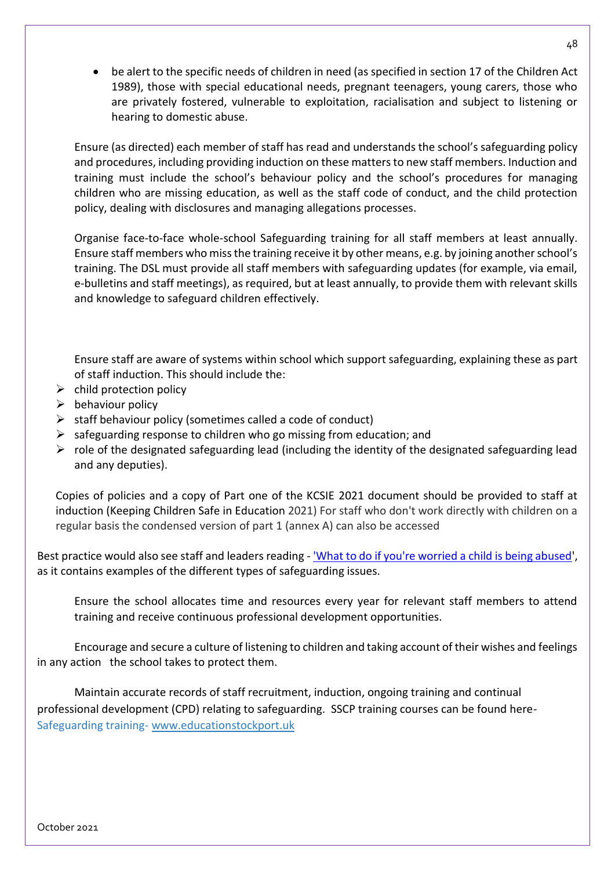• be alert to the specific needs of children in need (as specified in section 17 of the Children Act 1989), those with special educational needs, pregnant teenagers, young carers, those who are privately fostered, vulnerable to exploitation, racialisation and subject to listening or hearing to domestic abuse.

Ensure (as directed) each member of staff has read and understands the school's safeguarding policy and procedures, including providing induction on these matters to new staff members. Induction and training must include the school's behaviour policy and the school's procedures for managing children who are missing education, as well as the staff code of conduct, and the child protection policy, dealing with disclosures and managing allegations processes.

Organise face-to-face whole-school Safeguarding training for all staff members at least annually. Ensure staff members who miss the training receive it by other means, e.g. by joining another school's training. The DSL must provide all staff members with safeguarding updates (for example, via email, e-bulletins and staff meetings), as required, but at least annually, to provide them with relevant skills and knowledge to safeguard children effectively.

Ensure staff are aware of systems within school which support safeguarding, explaining these as part of staff induction. This should include the:

- $\triangleright$  child protection policy
- $\triangleright$  behaviour policy
- $\triangleright$  staff behaviour policy (sometimes called a code of conduct)
- $\triangleright$  safeguarding response to children who go missing from education; and
- $\triangleright$  role of the designated safeguarding lead (including the identity of the designated safeguarding lead and any deputies).

Copies of policies and a copy of Part one of the KCSIE 2021 document should be provided to staff at induction (Keeping Children Safe in Education 2021) For staff who don't work directly with children on a regular basis the condensed version of part 1 (annex A) can also be accessed

Best practice would also see staff and leaders reading - ['What to do if you're worried a child is being abused'](file://///Bh10201/Bh10201Data/SServices/WestminsterHouse/team%20areas/Safeguarding%20Secretarial/WSCB/Amanda/___Education%20Officer/2.%20Safeguarding%20Documents/____MODEL%20Safeguarding%20Policy/Current%20Policy%20-%202020-2021/Actions%20when%20there%20are%20concerns%20about%20a%20child.pub), as it contains examples of the different types of safeguarding issues.

Ensure the school allocates time and resources every year for relevant staff members to attend training and receive continuous professional development opportunities.

Encourage and secure a culture of listening to children and taking account of their wishes and feelings in any action the school takes to protect them.

Maintain accurate records of staff recruitment, induction, ongoing training and continual professional development (CPD) relating to safeguarding. SSCP training courses can be found here-Safeguarding training- [www.educationstockport.uk](http://www.educationstockport.uk/)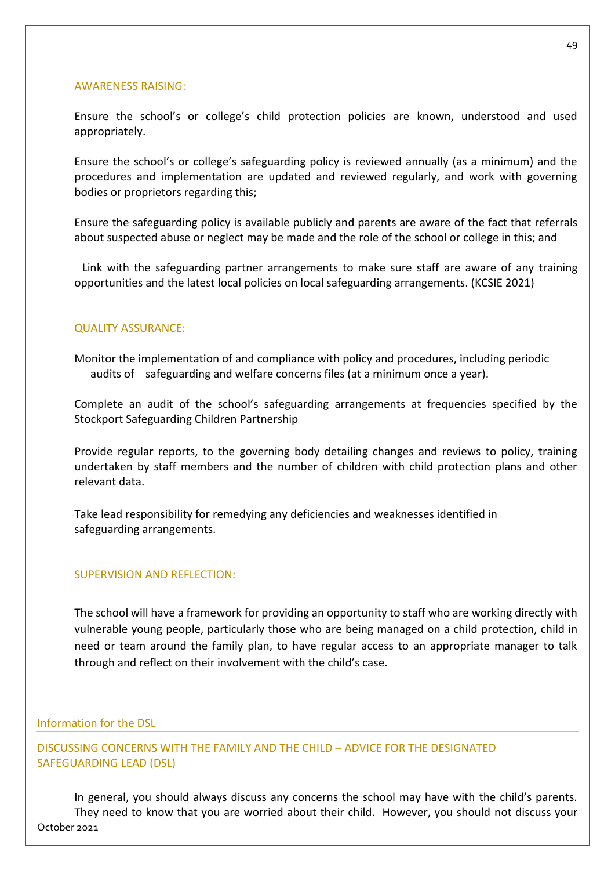#### <span id="page-48-0"></span>AWARENESS RAISING:

Ensure the school's or college's child protection policies are known, understood and used appropriately.

Ensure the school's or college's safeguarding policy is reviewed annually (as a minimum) and the procedures and implementation are updated and reviewed regularly, and work with governing bodies or proprietors regarding this;

Ensure the safeguarding policy is available publicly and parents are aware of the fact that referrals about suspected abuse or neglect may be made and the role of the school or college in this; and

 Link with the safeguarding partner arrangements to make sure staff are aware of any training opportunities and the latest local policies on local safeguarding arrangements. (KCSIE 2021)

#### <span id="page-48-1"></span>QUALITY ASSURANCE:

Monitor the implementation of and compliance with policy and procedures, including periodic audits of safeguarding and welfare concerns files (at a minimum once a year).

Complete an audit of the school's safeguarding arrangements at frequencies specified by the Stockport Safeguarding Children Partnership

Provide regular reports, to the governing body detailing changes and reviews to policy, training undertaken by staff members and the number of children with child protection plans and other relevant data.

Take lead responsibility for remedying any deficiencies and weaknesses identified in safeguarding arrangements.

#### <span id="page-48-2"></span>SUPERVISION AND REFLECTION:

The school will have a framework for providing an opportunity to staff who are working directly with vulnerable young people, particularly those who are being managed on a child protection, child in need or team around the family plan, to have regular access to an appropriate manager to talk through and reflect on their involvement with the child's case.

<span id="page-48-3"></span>Information for the DSL

<span id="page-48-4"></span>DISCUSSING CONCERNS WITH THE FAMILY AND THE CHILD – ADVICE FOR THE DESIGNATED SAFEGUARDING LEAD (DSL)

October 2021 In general, you should always discuss any concerns the school may have with the child's parents. They need to know that you are worried about their child. However, you should not discuss your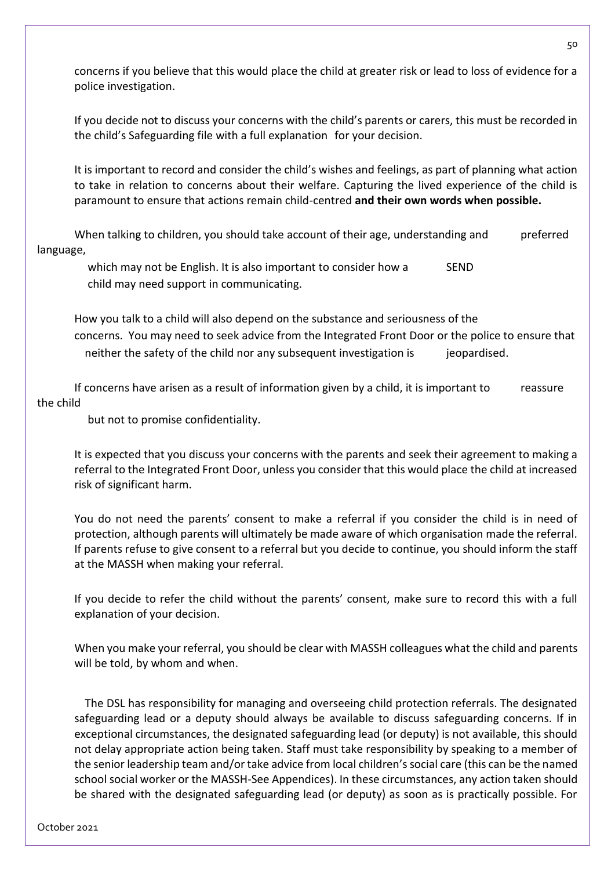concerns if you believe that this would place the child at greater risk or lead to loss of evidence for a police investigation.

If you decide not to discuss your concerns with the child's parents or carers, this must be recorded in the child's Safeguarding file with a full explanation for your decision.

It is important to record and consider the child's wishes and feelings, as part of planning what action to take in relation to concerns about their welfare. Capturing the lived experience of the child is paramount to ensure that actions remain child-centred **and their own words when possible.**

When talking to children, you should take account of their age, understanding and preferred language,

which may not be English. It is also important to consider how a SEND child may need support in communicating.

How you talk to a child will also depend on the substance and seriousness of the concerns. You may need to seek advice from the Integrated Front Door or the police to ensure that neither the safety of the child nor any subsequent investigation is jeopardised.

If concerns have arisen as a result of information given by a child, it is important to reassure the child

but not to promise confidentiality.

It is expected that you discuss your concerns with the parents and seek their agreement to making a referral to the Integrated Front Door, unless you consider that this would place the child at increased risk of significant harm.

You do not need the parents' consent to make a referral if you consider the child is in need of protection, although parents will ultimately be made aware of which organisation made the referral. If parents refuse to give consent to a referral but you decide to continue, you should inform the staff at the MASSH when making your referral.

If you decide to refer the child without the parents' consent, make sure to record this with a full explanation of your decision.

When you make your referral, you should be clear with MASSH colleagues what the child and parents will be told, by whom and when.

 The DSL has responsibility for managing and overseeing child protection referrals. The designated safeguarding lead or a deputy should always be available to discuss safeguarding concerns. If in exceptional circumstances, the designated safeguarding lead (or deputy) is not available, this should not delay appropriate action being taken. Staff must take responsibility by speaking to a member of the senior leadership team and/or take advice from local children's social care (this can be the named school social worker or the MASSH-See Appendices). In these circumstances, any action taken should be shared with the designated safeguarding lead (or deputy) as soon as is practically possible. For